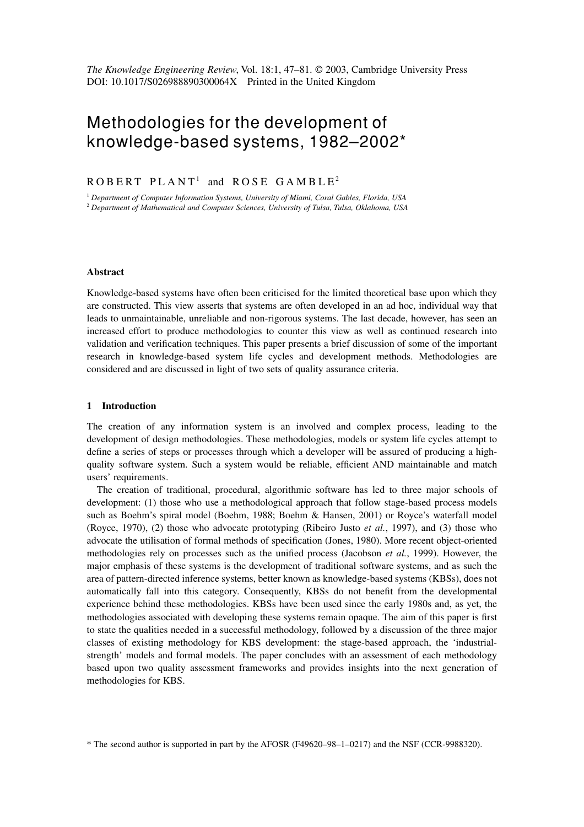*The Knowledge Engineering Review*, Vol. 18:1, 47–81. © 2003, Cambridge University Press DOI: 10.1017/S026988890300064X Printed in the United Kingdom

# Methodologies for the development of knowledge-based systems, 1982–2002\*

## $ROBERT$   $PLANT<sup>1</sup>$  and  $ROSE$   $GAMBLE<sup>2</sup>$

<sup>1</sup> *Department of Computer Information Systems, University of Miami, Coral Gables, Florida, USA* <sup>2</sup> *Department of Mathematical and Computer Sciences, University of Tulsa, Tulsa, Oklahoma, USA*

## **Abstract**

Knowledge-based systems have often been criticised for the limited theoretical base upon which they are constructed. This view asserts that systems are often developed in an ad hoc, individual way that leads to unmaintainable, unreliable and non-rigorous systems. The last decade, however, has seen an increased effort to produce methodologies to counter this view as well as continued research into validation and verification techniques. This paper presents a brief discussion of some of the important research in knowledge-based system life cycles and development methods. Methodologies are considered and are discussed in light of two sets of quality assurance criteria.

## **1 Introduction**

The creation of any information system is an involved and complex process, leading to the development of design methodologies. These methodologies, models or system life cycles attempt to define a series of steps or processes through which a developer will be assured of producing a highquality software system. Such a system would be reliable, efficient AND maintainable and match users' requirements.

The creation of traditional, procedural, algorithmic software has led to three major schools of development: (1) those who use a methodological approach that follow stage-based process models such as Boehm's spiral model (Boehm, 1988; Boehm & Hansen, 2001) or Royce's waterfall model (Royce, 1970), (2) those who advocate prototyping (Ribeiro Justo *et al.*, 1997), and (3) those who advocate the utilisation of formal methods of specification (Jones, 1980). More recent object-oriented methodologies rely on processes such as the unified process (Jacobson *et al.*, 1999). However, the major emphasis of these systems is the development of traditional software systems, and as such the area of pattern-directed inference systems, better known as knowledge-based systems (KBSs), does not automatically fall into this category. Consequently, KBSs do not benefit from the developmental experience behind these methodologies. KBSs have been used since the early 1980s and, as yet, the methodologies associated with developing these systems remain opaque. The aim of this paper is first to state the qualities needed in a successful methodology, followed by a discussion of the three major classes of existing methodology for KBS development: the stage-based approach, the 'industrialstrength' models and formal models. The paper concludes with an assessment of each methodology based upon two quality assessment frameworks and provides insights into the next generation of methodologies for KBS.

<sup>\*</sup> The second author is supported in part by the AFOSR (F49620–98–1–0217) and the NSF (CCR-9988320).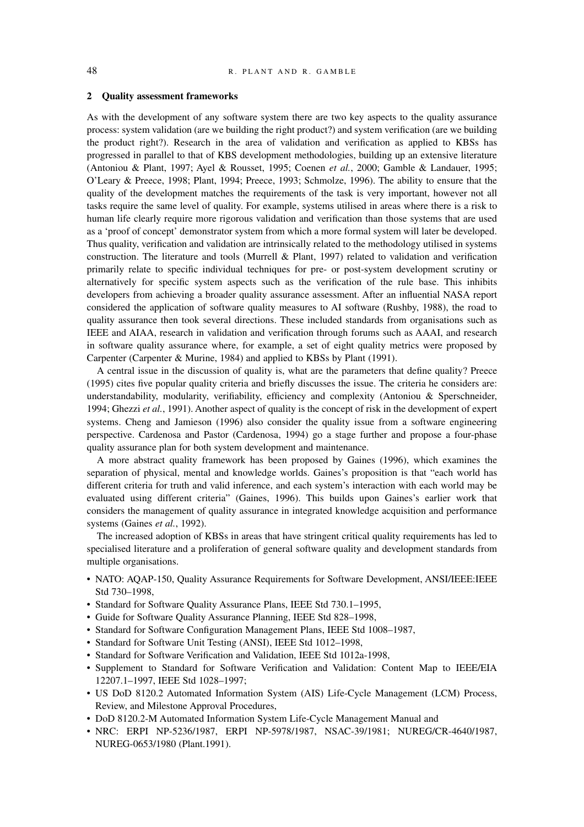### **2 Quality assessment frameworks**

As with the development of any software system there are two key aspects to the quality assurance process: system validation (are we building the right product?) and system verification (are we building the product right?). Research in the area of validation and verification as applied to KBSs has progressed in parallel to that of KBS development methodologies, building up an extensive literature (Antoniou & Plant, 1997; Ayel & Rousset, 1995; Coenen *et al.*, 2000; Gamble & Landauer, 1995; O'Leary & Preece, 1998; Plant, 1994; Preece, 1993; Schmolze, 1996). The ability to ensure that the quality of the development matches the requirements of the task is very important, however not all tasks require the same level of quality. For example, systems utilised in areas where there is a risk to human life clearly require more rigorous validation and verification than those systems that are used as a 'proof of concept' demonstrator system from which a more formal system will later be developed. Thus quality, verification and validation are intrinsically related to the methodology utilised in systems construction. The literature and tools (Murrell & Plant, 1997) related to validation and verification primarily relate to specific individual techniques for pre- or post-system development scrutiny or alternatively for specific system aspects such as the verification of the rule base. This inhibits developers from achieving a broader quality assurance assessment. After an influential NASA report considered the application of software quality measures to AI software (Rushby, 1988), the road to quality assurance then took several directions. These included standards from organisations such as IEEE and AIAA, research in validation and verification through forums such as AAAI, and research in software quality assurance where, for example, a set of eight quality metrics were proposed by Carpenter (Carpenter & Murine, 1984) and applied to KBSs by Plant (1991).

A central issue in the discussion of quality is, what are the parameters that define quality? Preece (1995) cites five popular quality criteria and briefly discusses the issue. The criteria he considers are: understandability, modularity, verifiability, efficiency and complexity (Antoniou & Sperschneider, 1994; Ghezzi *et al.*, 1991). Another aspect of quality is the concept of risk in the development of expert systems. Cheng and Jamieson (1996) also consider the quality issue from a software engineering perspective. Cardenosa and Pastor (Cardenosa, 1994) go a stage further and propose a four-phase quality assurance plan for both system development and maintenance.

A more abstract quality framework has been proposed by Gaines (1996), which examines the separation of physical, mental and knowledge worlds. Gaines's proposition is that "each world has different criteria for truth and valid inference, and each system's interaction with each world may be evaluated using different criteria" (Gaines, 1996). This builds upon Gaines's earlier work that considers the management of quality assurance in integrated knowledge acquisition and performance systems (Gaines *et al.*, 1992).

The increased adoption of KBSs in areas that have stringent critical quality requirements has led to specialised literature and a proliferation of general software quality and development standards from multiple organisations.

- NATO: AQAP-150, Quality Assurance Requirements for Software Development, ANSI/IEEE:IEEE Std 730–1998,
- Standard for Software Quality Assurance Plans, IEEE Std 730.1–1995,
- Guide for Software Quality Assurance Planning, IEEE Std 828–1998,
- Standard for Software Configuration Management Plans, IEEE Std 1008–1987,
- Standard for Software Unit Testing (ANSI), IEEE Std 1012–1998,
- Standard for Software Verification and Validation, IEEE Std 1012a-1998,
- Supplement to Standard for Software Verification and Validation: Content Map to IEEE/EIA 12207.1–1997, IEEE Std 1028–1997;
- US DoD 8120.2 Automated Information System (AIS) Life-Cycle Management (LCM) Process, Review, and Milestone Approval Procedures,
- DoD 8120.2-M Automated Information System Life-Cycle Management Manual and
- NRC: ERPI NP-5236/1987, ERPI NP-5978/1987, NSAC-39/1981; NUREG/CR-4640/1987, NUREG-0653/1980 (Plant.1991).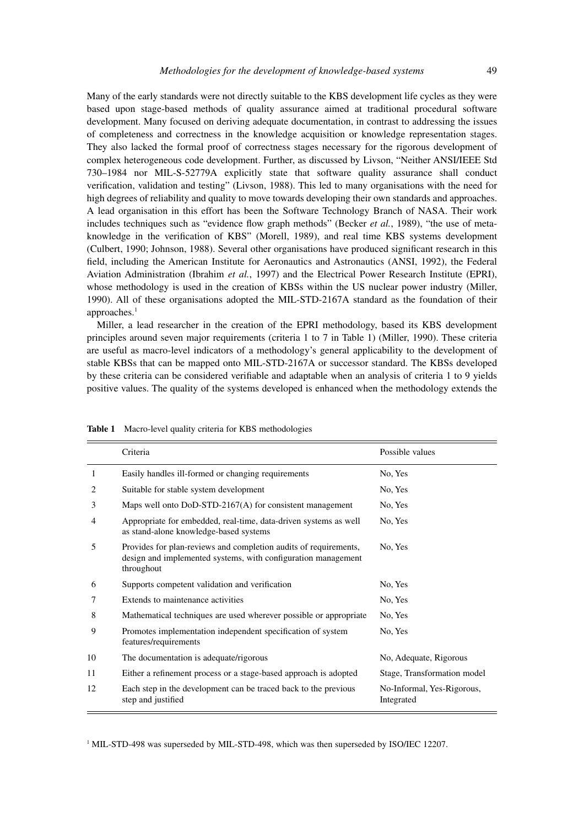Many of the early standards were not directly suitable to the KBS development life cycles as they were based upon stage-based methods of quality assurance aimed at traditional procedural software development. Many focused on deriving adequate documentation, in contrast to addressing the issues of completeness and correctness in the knowledge acquisition or knowledge representation stages. They also lacked the formal proof of correctness stages necessary for the rigorous development of complex heterogeneous code development. Further, as discussed by Livson, "Neither ANSI/IEEE Std 730–1984 nor MIL-S-52779A explicitly state that software quality assurance shall conduct verification, validation and testing" (Livson, 1988). This led to many organisations with the need for high degrees of reliability and quality to move towards developing their own standards and approaches. A lead organisation in this effort has been the Software Technology Branch of NASA. Their work includes techniques such as "evidence flow graph methods" (Becker *et al.*, 1989), "the use of metaknowledge in the verification of KBS" (Morell, 1989), and real time KBS systems development (Culbert, 1990; Johnson, 1988). Several other organisations have produced significant research in this field, including the American Institute for Aeronautics and Astronautics (ANSI, 1992), the Federal Aviation Administration (Ibrahim *et al.*, 1997) and the Electrical Power Research Institute (EPRI), whose methodology is used in the creation of KBSs within the US nuclear power industry (Miller, 1990). All of these organisations adopted the MIL-STD-2167A standard as the foundation of their approaches. $<sup>1</sup>$ </sup>

Miller, a lead researcher in the creation of the EPRI methodology, based its KBS development principles around seven major requirements (criteria 1 to 7 in Table 1) (Miller, 1990). These criteria are useful as macro-level indicators of a methodology's general applicability to the development of stable KBSs that can be mapped onto MIL-STD-2167A or successor standard. The KBSs developed by these criteria can be considered verifiable and adaptable when an analysis of criteria 1 to 9 yields positive values. The quality of the systems developed is enhanced when the methodology extends the

|    | Criteria                                                                                                                                        | Possible values                          |  |  |
|----|-------------------------------------------------------------------------------------------------------------------------------------------------|------------------------------------------|--|--|
| 1  | Easily handles ill-formed or changing requirements                                                                                              | No, Yes                                  |  |  |
| 2  | Suitable for stable system development                                                                                                          | No, Yes                                  |  |  |
| 3  | Maps well onto DoD-STD-2167(A) for consistent management                                                                                        | No, Yes                                  |  |  |
| 4  | Appropriate for embedded, real-time, data-driven systems as well<br>as stand-alone knowledge-based systems                                      | No, Yes                                  |  |  |
| 5  | Provides for plan-reviews and completion audits of requirements,<br>design and implemented systems, with configuration management<br>throughout | No. Yes                                  |  |  |
| 6  | Supports competent validation and verification                                                                                                  | No, Yes                                  |  |  |
| 7  | Extends to maintenance activities                                                                                                               | No, Yes                                  |  |  |
| 8  | Mathematical techniques are used wherever possible or appropriate                                                                               | No, Yes                                  |  |  |
| 9  | Promotes implementation independent specification of system<br>features/requirements                                                            | No, Yes                                  |  |  |
| 10 | The documentation is adequate/rigorous                                                                                                          | No, Adequate, Rigorous                   |  |  |
| 11 | Either a refinement process or a stage-based approach is adopted                                                                                | Stage, Transformation model              |  |  |
| 12 | Each step in the development can be traced back to the previous<br>step and justified                                                           | No-Informal, Yes-Rigorous,<br>Integrated |  |  |

**Table 1** Macro-level quality criteria for KBS methodologies

<sup>1</sup> MIL-STD-498 was superseded by MIL-STD-498, which was then superseded by ISO/IEC 12207.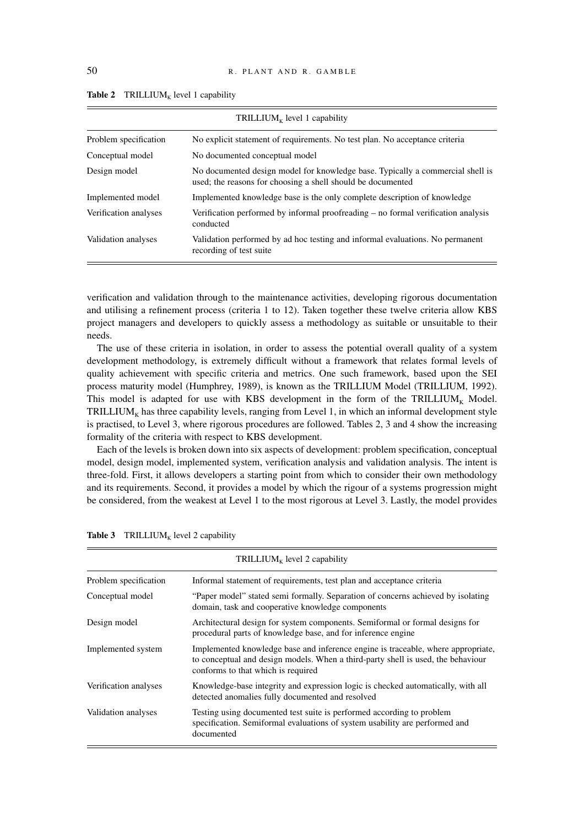| TRILLIUM <sub>K</sub> level 1 capability |                                                                                                                                               |  |  |  |
|------------------------------------------|-----------------------------------------------------------------------------------------------------------------------------------------------|--|--|--|
| Problem specification                    | No explicit statement of requirements. No test plan. No acceptance criteria                                                                   |  |  |  |
| Conceptual model                         | No documented conceptual model                                                                                                                |  |  |  |
| Design model                             | No documented design model for knowledge base. Typically a commercial shell is<br>used; the reasons for choosing a shell should be documented |  |  |  |
| Implemented model                        | Implemented knowledge base is the only complete description of knowledge                                                                      |  |  |  |
| Verification analyses                    | Verification performed by informal proofreading - no formal verification analysis<br>conducted                                                |  |  |  |
| Validation analyses                      | Validation performed by ad hoc testing and informal evaluations. No permanent<br>recording of test suite                                      |  |  |  |

**Table 2** TRILLIUM<sub>K</sub> level 1 capability

verification and validation through to the maintenance activities, developing rigorous documentation and utilising a refinement process (criteria 1 to 12). Taken together these twelve criteria allow KBS project managers and developers to quickly assess a methodology as suitable or unsuitable to their needs.

The use of these criteria in isolation, in order to assess the potential overall quality of a system development methodology, is extremely difficult without a framework that relates formal levels of quality achievement with specific criteria and metrics. One such framework, based upon the SEI process maturity model (Humphrey, 1989), is known as the TRILLIUM Model (TRILLIUM, 1992). This model is adapted for use with KBS development in the form of the TRILLIUM<sub>K</sub> Model.  $TRILLIUM<sub>K</sub>$  has three capability levels, ranging from Level 1, in which an informal development style is practised, to Level 3, where rigorous procedures are followed. Tables 2, 3 and 4 show the increasing formality of the criteria with respect to KBS development.

Each of the levels is broken down into six aspects of development: problem specification, conceptual model, design model, implemented system, verification analysis and validation analysis. The intent is three-fold. First, it allows developers a starting point from which to consider their own methodology and its requirements. Second, it provides a model by which the rigour of a systems progression might be considered, from the weakest at Level 1 to the most rigorous at Level 3. Lastly, the model provides

| TRILLIUM <sub>K</sub> level 2 capability |                                                                                                                                                                                                            |  |  |  |
|------------------------------------------|------------------------------------------------------------------------------------------------------------------------------------------------------------------------------------------------------------|--|--|--|
| Problem specification                    | Informal statement of requirements, test plan and acceptance criteria                                                                                                                                      |  |  |  |
| Conceptual model                         | "Paper model" stated semi-formally. Separation of concerns achieved by isolating<br>domain, task and cooperative knowledge components                                                                      |  |  |  |
| Design model                             | Architectural design for system components. Semiformal or formal designs for<br>procedural parts of knowledge base, and for inference engine                                                               |  |  |  |
| Implemented system                       | Implemented knowledge base and inference engine is traceable, where appropriate,<br>to conceptual and design models. When a third-party shell is used, the behaviour<br>conforms to that which is required |  |  |  |
| Verification analyses                    | Knowledge-base integrity and expression logic is checked automatically, with all<br>detected anomalies fully documented and resolved                                                                       |  |  |  |
| Validation analyses                      | Testing using documented test suite is performed according to problem<br>specification. Semiformal evaluations of system usability are performed and<br>documented                                         |  |  |  |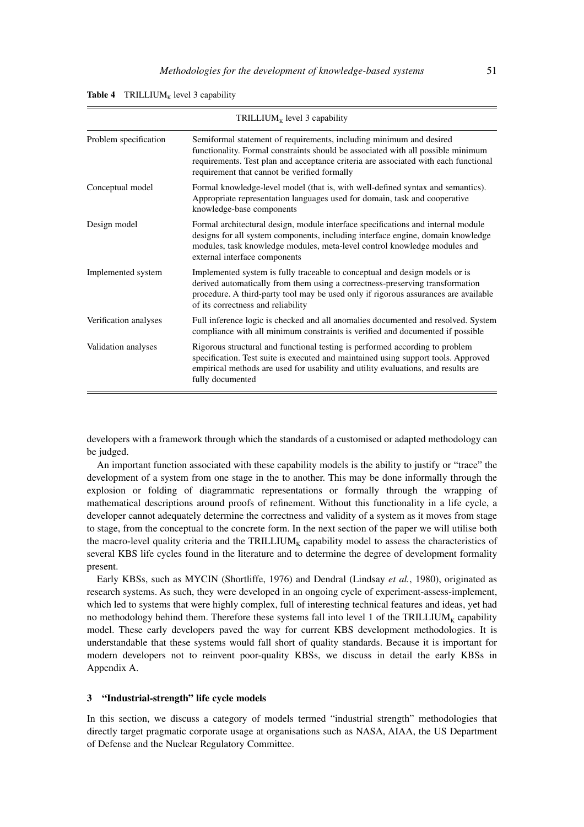| TRILLIUM <sub>K</sub> level 3 capability |                                                                                                                                                                                                                                                                                                |  |  |  |  |
|------------------------------------------|------------------------------------------------------------------------------------------------------------------------------------------------------------------------------------------------------------------------------------------------------------------------------------------------|--|--|--|--|
| Problem specification                    | Semiformal statement of requirements, including minimum and desired<br>functionality. Formal constraints should be associated with all possible minimum<br>requirements. Test plan and acceptance criteria are associated with each functional<br>requirement that cannot be verified formally |  |  |  |  |
| Conceptual model                         | Formal knowledge-level model (that is, with well-defined syntax and semantics).<br>Appropriate representation languages used for domain, task and cooperative<br>knowledge-base components                                                                                                     |  |  |  |  |
| Design model                             | Formal architectural design, module interface specifications and internal module<br>designs for all system components, including interface engine, domain knowledge<br>modules, task knowledge modules, meta-level control knowledge modules and<br>external interface components              |  |  |  |  |
| Implemented system                       | Implemented system is fully traceable to conceptual and design models or is<br>derived automatically from them using a correctness-preserving transformation<br>procedure. A third-party tool may be used only if rigorous assurances are available<br>of its correctness and reliability      |  |  |  |  |
| Verification analyses                    | Full inference logic is checked and all anomalies documented and resolved. System<br>compliance with all minimum constraints is verified and documented if possible                                                                                                                            |  |  |  |  |
| Validation analyses                      | Rigorous structural and functional testing is performed according to problem<br>specification. Test suite is executed and maintained using support tools. Approved<br>empirical methods are used for usability and utility evaluations, and results are<br>fully documented                    |  |  |  |  |

**Table 4** TRILLIUM<sub>K</sub> level 3 capability

developers with a framework through which the standards of a customised or adapted methodology can be judged.

An important function associated with these capability models is the ability to justify or "trace" the development of a system from one stage in the to another. This may be done informally through the explosion or folding of diagrammatic representations or formally through the wrapping of mathematical descriptions around proofs of refinement. Without this functionality in a life cycle, a developer cannot adequately determine the correctness and validity of a system as it moves from stage to stage, from the conceptual to the concrete form. In the next section of the paper we will utilise both the macro-level quality criteria and the TRILLIUM<sub>K</sub> capability model to assess the characteristics of several KBS life cycles found in the literature and to determine the degree of development formality present.

Early KBSs, such as MYCIN (Shortliffe, 1976) and Dendral (Lindsay *et al.*, 1980), originated as research systems. As such, they were developed in an ongoing cycle of experiment-assess-implement, which led to systems that were highly complex, full of interesting technical features and ideas, yet had no methodology behind them. Therefore these systems fall into level 1 of the TRILLIUM<sub>K</sub> capability model. These early developers paved the way for current KBS development methodologies. It is understandable that these systems would fall short of quality standards. Because it is important for modern developers not to reinvent poor-quality KBSs, we discuss in detail the early KBSs in Appendix A.

## **3 "Industrial-strength" life cycle models**

In this section, we discuss a category of models termed "industrial strength" methodologies that directly target pragmatic corporate usage at organisations such as NASA, AIAA, the US Department of Defense and the Nuclear Regulatory Committee.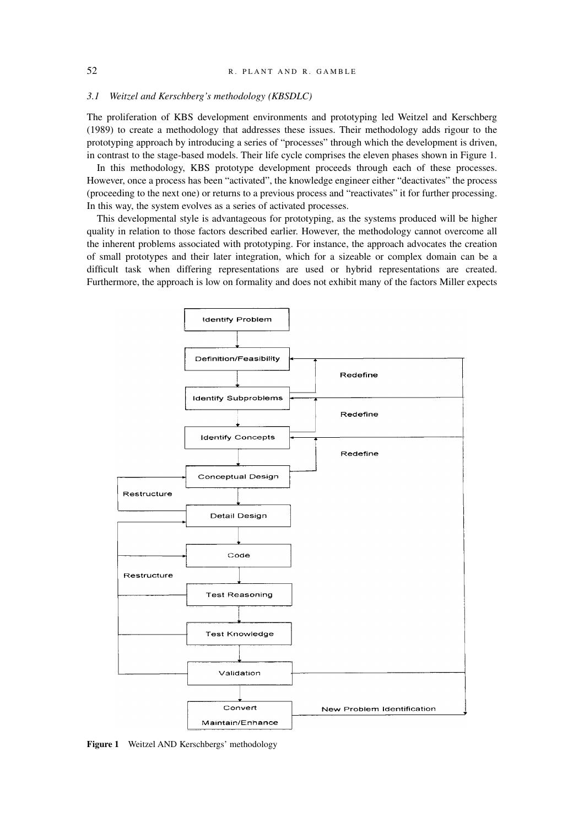## *3.1 Weitzel and Kerschberg's methodology (KBSDLC)*

The proliferation of KBS development environments and prototyping led Weitzel and Kerschberg (1989) to create a methodology that addresses these issues. Their methodology adds rigour to the prototyping approach by introducing a series of "processes" through which the development is driven, in contrast to the stage-based models. Their life cycle comprises the eleven phases shown in Figure 1.

In this methodology, KBS prototype development proceeds through each of these processes. However, once a process has been "activated", the knowledge engineer either "deactivates" the process (proceeding to the next one) or returns to a previous process and "reactivates" it for further processing. In this way, the system evolves as a series of activated processes.

This developmental style is advantageous for prototyping, as the systems produced will be higher quality in relation to those factors described earlier. However, the methodology cannot overcome all the inherent problems associated with prototyping. For instance, the approach advocates the creation of small prototypes and their later integration, which for a sizeable or complex domain can be a difficult task when differing representations are used or hybrid representations are created. Furthermore, the approach is low on formality and does not exhibit many of the factors Miller expects



**Figure 1** Weitzel AND Kerschbergs' methodology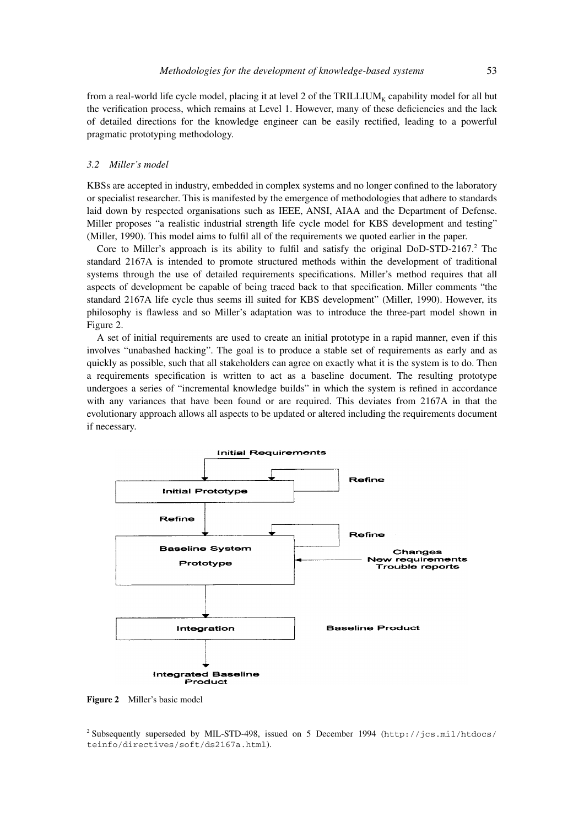from a real-world life cycle model, placing it at level 2 of the TRILLIUM<sub>K</sub> capability model for all but the verification process, which remains at Level 1. However, many of these deficiencies and the lack of detailed directions for the knowledge engineer can be easily rectified, leading to a powerful pragmatic prototyping methodology.

## *3.2 Miller's model*

KBSs are accepted in industry, embedded in complex systems and no longer confined to the laboratory or specialist researcher. This is manifested by the emergence of methodologies that adhere to standards laid down by respected organisations such as IEEE, ANSI, AIAA and the Department of Defense. Miller proposes "a realistic industrial strength life cycle model for KBS development and testing" (Miller, 1990). This model aims to fulfil all of the requirements we quoted earlier in the paper.

Core to Miller's approach is its ability to fulfil and satisfy the original DoD-STD-2167. $^2$  The standard 2167A is intended to promote structured methods within the development of traditional systems through the use of detailed requirements specifications. Miller's method requires that all aspects of development be capable of being traced back to that specification. Miller comments "the standard 2167A life cycle thus seems ill suited for KBS development" (Miller, 1990). However, its philosophy is flawless and so Miller's adaptation was to introduce the three-part model shown in Figure 2.

A set of initial requirements are used to create an initial prototype in a rapid manner, even if this involves "unabashed hacking". The goal is to produce a stable set of requirements as early and as quickly as possible, such that all stakeholders can agree on exactly what it is the system is to do. Then a requirements specification is written to act as a baseline document. The resulting prototype undergoes a series of "incremental knowledge builds" in which the system is refined in accordance with any variances that have been found or are required. This deviates from 2167A in that the evolutionary approach allows all aspects to be updated or altered including the requirements document if necessary.



**Figure 2** Miller's basic model

<sup>2</sup> Subsequently superseded by MIL-STD-498, issued on 5 December 1994 (http://jcs.mil/htdocs/ teinfo/directives/soft/ds2167a.html).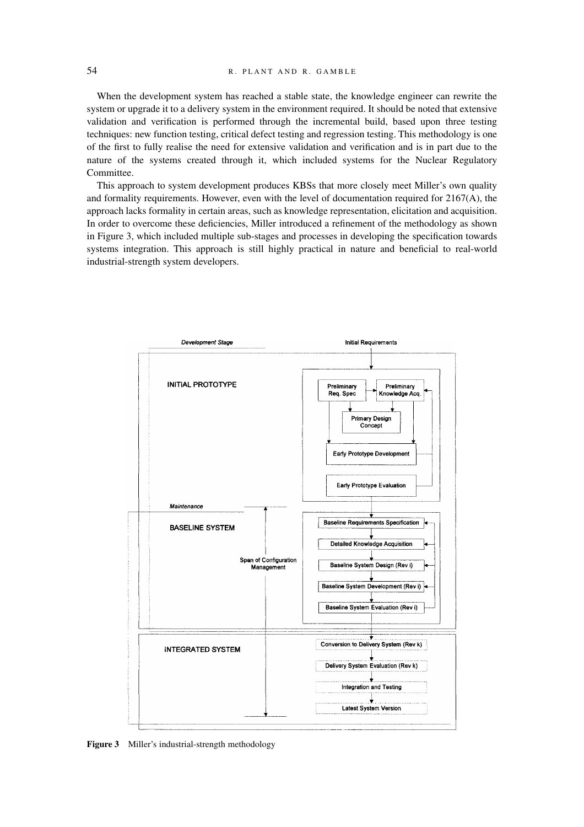When the development system has reached a stable state, the knowledge engineer can rewrite the system or upgrade it to a delivery system in the environment required. It should be noted that extensive validation and verification is performed through the incremental build, based upon three testing techniques: new function testing, critical defect testing and regression testing. This methodology is one of the first to fully realise the need for extensive validation and verification and is in part due to the nature of the systems created through it, which included systems for the Nuclear Regulatory Committee.

This approach to system development produces KBSs that more closely meet Miller's own quality and formality requirements. However, even with the level of documentation required for 2167(A), the approach lacks formality in certain areas, such as knowledge representation, elicitation and acquisition. In order to overcome these deficiencies, Miller introduced a refinement of the methodology as shown in Figure 3, which included multiple sub-stages and processes in developing the specification towards systems integration. This approach is still highly practical in nature and beneficial to real-world industrial-strength system developers.



**Figure 3** Miller's industrial-strength methodology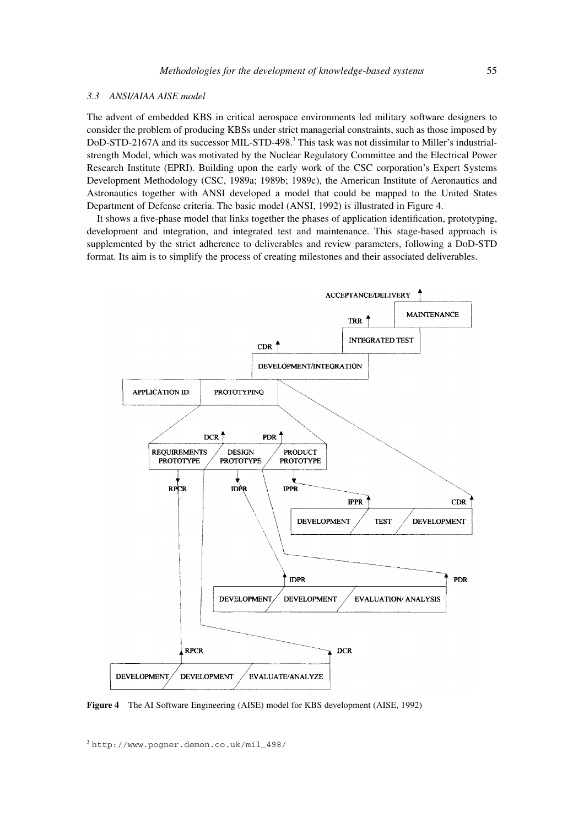### *3.3 ANSI/AIAA AISE model*

The advent of embedded KBS in critical aerospace environments led military software designers to consider the problem of producing KBSs under strict managerial constraints, such as those imposed by DoD-STD-2167A and its successor MIL-STD-498.3 This task was not dissimilar to Miller's industrialstrength Model, which was motivated by the Nuclear Regulatory Committee and the Electrical Power Research Institute (EPRI). Building upon the early work of the CSC corporation's Expert Systems Development Methodology (CSC, 1989a; 1989b; 1989c), the American Institute of Aeronautics and Astronautics together with ANSI developed a model that could be mapped to the United States Department of Defense criteria. The basic model (ANSI, 1992) is illustrated in Figure 4.

It shows a five-phase model that links together the phases of application identification, prototyping, development and integration, and integrated test and maintenance. This stage-based approach is supplemented by the strict adherence to deliverables and review parameters, following a DoD-STD format. Its aim is to simplify the process of creating milestones and their associated deliverables.



**Figure 4** The AI Software Engineering (AISE) model for KBS development (AISE, 1992)

 $3$ http://www.pogner.demon.co.uk/mil 498/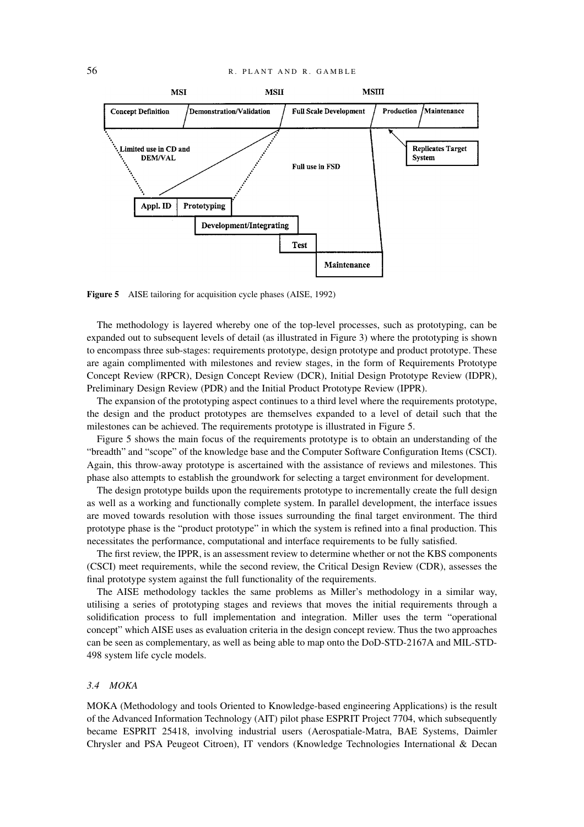

**Figure 5** AISE tailoring for acquisition cycle phases (AISE, 1992)

The methodology is layered whereby one of the top-level processes, such as prototyping, can be expanded out to subsequent levels of detail (as illustrated in Figure 3) where the prototyping is shown to encompass three sub-stages: requirements prototype, design prototype and product prototype. These are again complimented with milestones and review stages, in the form of Requirements Prototype Concept Review (RPCR), Design Concept Review (DCR), Initial Design Prototype Review (IDPR), Preliminary Design Review (PDR) and the Initial Product Prototype Review (IPPR).

The expansion of the prototyping aspect continues to a third level where the requirements prototype, the design and the product prototypes are themselves expanded to a level of detail such that the milestones can be achieved. The requirements prototype is illustrated in Figure 5.

Figure 5 shows the main focus of the requirements prototype is to obtain an understanding of the "breadth" and "scope" of the knowledge base and the Computer Software Configuration Items (CSCI). Again, this throw-away prototype is ascertained with the assistance of reviews and milestones. This phase also attempts to establish the groundwork for selecting a target environment for development.

The design prototype builds upon the requirements prototype to incrementally create the full design as well as a working and functionally complete system. In parallel development, the interface issues are moved towards resolution with those issues surrounding the final target environment. The third prototype phase is the "product prototype" in which the system is refined into a final production. This necessitates the performance, computational and interface requirements to be fully satisfied.

The first review, the IPPR, is an assessment review to determine whether or not the KBS components (CSCI) meet requirements, while the second review, the Critical Design Review (CDR), assesses the final prototype system against the full functionality of the requirements.

The AISE methodology tackles the same problems as Miller's methodology in a similar way, utilising a series of prototyping stages and reviews that moves the initial requirements through a solidification process to full implementation and integration. Miller uses the term "operational concept" which AISE uses as evaluation criteria in the design concept review. Thus the two approaches can be seen as complementary, as well as being able to map onto the DoD-STD-2167A and MIL-STD-498 system life cycle models.

## *3.4 MOKA*

MOKA (Methodology and tools Oriented to Knowledge-based engineering Applications) is the result of the Advanced Information Technology (AIT) pilot phase ESPRIT Project 7704, which subsequently became ESPRIT 25418, involving industrial users (Aerospatiale-Matra, BAE Systems, Daimler Chrysler and PSA Peugeot Citroen), IT vendors (Knowledge Technologies International & Decan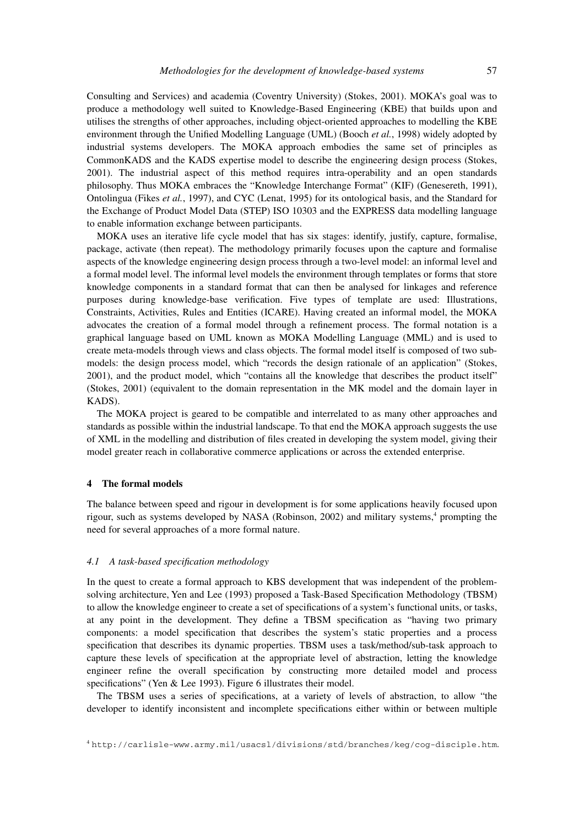Consulting and Services) and academia (Coventry University) (Stokes, 2001). MOKA's goal was to produce a methodology well suited to Knowledge-Based Engineering (KBE) that builds upon and utilises the strengths of other approaches, including object-oriented approaches to modelling the KBE environment through the Unified Modelling Language (UML) (Booch *et al.*, 1998) widely adopted by industrial systems developers. The MOKA approach embodies the same set of principles as CommonKADS and the KADS expertise model to describe the engineering design process (Stokes, 2001). The industrial aspect of this method requires intra-operability and an open standards philosophy. Thus MOKA embraces the "Knowledge Interchange Format" (KIF) (Genesereth, 1991), Ontolingua (Fikes *et al.*, 1997), and CYC (Lenat, 1995) for its ontological basis, and the Standard for the Exchange of Product Model Data (STEP) ISO 10303 and the EXPRESS data modelling language to enable information exchange between participants.

MOKA uses an iterative life cycle model that has six stages: identify, justify, capture, formalise, package, activate (then repeat). The methodology primarily focuses upon the capture and formalise aspects of the knowledge engineering design process through a two-level model: an informal level and a formal model level. The informal level models the environment through templates or forms that store knowledge components in a standard format that can then be analysed for linkages and reference purposes during knowledge-base verification. Five types of template are used: Illustrations, Constraints, Activities, Rules and Entities (ICARE). Having created an informal model, the MOKA advocates the creation of a formal model through a refinement process. The formal notation is a graphical language based on UML known as MOKA Modelling Language (MML) and is used to create meta-models through views and class objects. The formal model itself is composed of two submodels: the design process model, which "records the design rationale of an application" (Stokes, 2001), and the product model, which "contains all the knowledge that describes the product itself" (Stokes, 2001) (equivalent to the domain representation in the MK model and the domain layer in KADS).

The MOKA project is geared to be compatible and interrelated to as many other approaches and standards as possible within the industrial landscape. To that end the MOKA approach suggests the use of XML in the modelling and distribution of files created in developing the system model, giving their model greater reach in collaborative commerce applications or across the extended enterprise.

#### **4 The formal models**

The balance between speed and rigour in development is for some applications heavily focused upon rigour, such as systems developed by NASA (Robinson, 2002) and military systems,<sup>4</sup> prompting the need for several approaches of a more formal nature.

#### *4.1 A task-based specification methodology*

In the quest to create a formal approach to KBS development that was independent of the problemsolving architecture, Yen and Lee (1993) proposed a Task-Based Specification Methodology (TBSM) to allow the knowledge engineer to create a set of specifications of a system's functional units, or tasks, at any point in the development. They define a TBSM specification as "having two primary components: a model specification that describes the system's static properties and a process specification that describes its dynamic properties. TBSM uses a task/method/sub-task approach to capture these levels of specification at the appropriate level of abstraction, letting the knowledge engineer refine the overall specification by constructing more detailed model and process specifications" (Yen & Lee 1993). Figure 6 illustrates their model.

The TBSM uses a series of specifications, at a variety of levels of abstraction, to allow "the developer to identify inconsistent and incomplete specifications either within or between multiple

<sup>4</sup> http://carlisle-www.army.mil/usacsl/divisions/std/branches/keg/cog-disciple.htm.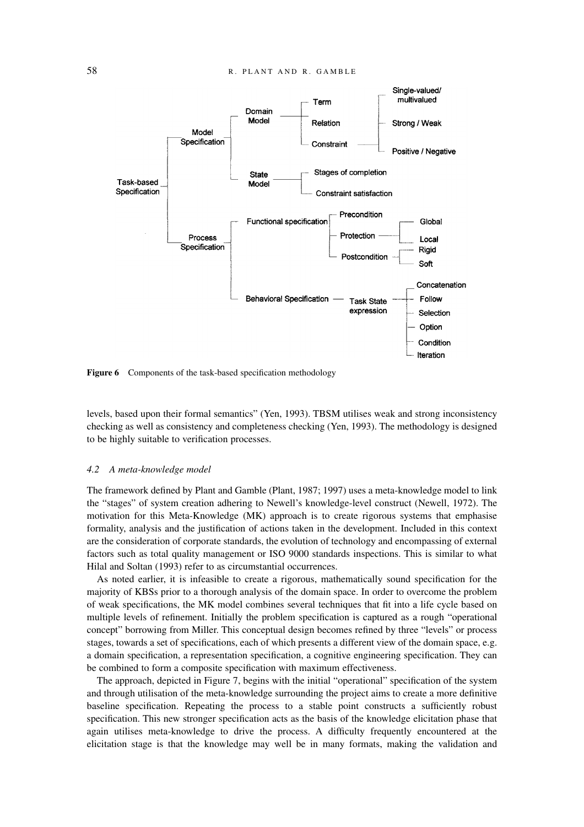

**Figure 6** Components of the task-based specification methodology

levels, based upon their formal semantics" (Yen, 1993). TBSM utilises weak and strong inconsistency checking as well as consistency and completeness checking (Yen, 1993). The methodology is designed to be highly suitable to verification processes.

#### *4.2 A meta-knowledge model*

The framework defined by Plant and Gamble (Plant, 1987; 1997) uses a meta-knowledge model to link the "stages" of system creation adhering to Newell's knowledge-level construct (Newell, 1972). The motivation for this Meta-Knowledge (MK) approach is to create rigorous systems that emphasise formality, analysis and the justification of actions taken in the development. Included in this context are the consideration of corporate standards, the evolution of technology and encompassing of external factors such as total quality management or ISO 9000 standards inspections. This is similar to what Hilal and Soltan (1993) refer to as circumstantial occurrences.

As noted earlier, it is infeasible to create a rigorous, mathematically sound specification for the majority of KBSs prior to a thorough analysis of the domain space. In order to overcome the problem of weak specifications, the MK model combines several techniques that fit into a life cycle based on multiple levels of refinement. Initially the problem specification is captured as a rough "operational concept" borrowing from Miller. This conceptual design becomes refined by three "levels" or process stages, towards a set of specifications, each of which presents a different view of the domain space, e.g. a domain specification, a representation specification, a cognitive engineering specification. They can be combined to form a composite specification with maximum effectiveness.

The approach, depicted in Figure 7, begins with the initial "operational" specification of the system and through utilisation of the meta-knowledge surrounding the project aims to create a more definitive baseline specification. Repeating the process to a stable point constructs a sufficiently robust specification. This new stronger specification acts as the basis of the knowledge elicitation phase that again utilises meta-knowledge to drive the process. A difficulty frequently encountered at the elicitation stage is that the knowledge may well be in many formats, making the validation and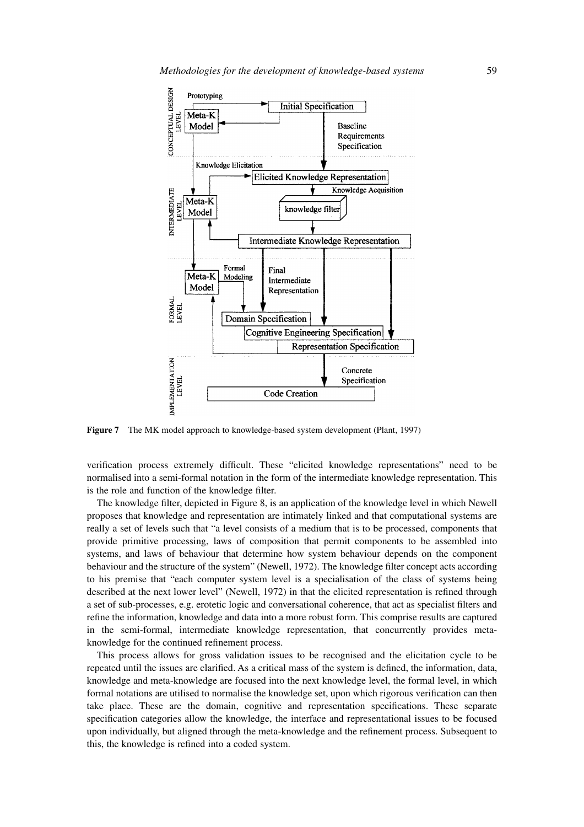

**Figure 7** The MK model approach to knowledge-based system development (Plant, 1997)

verification process extremely difficult. These "elicited knowledge representations" need to be normalised into a semi-formal notation in the form of the intermediate knowledge representation. This is the role and function of the knowledge filter.

The knowledge filter, depicted in Figure 8, is an application of the knowledge level in which Newell proposes that knowledge and representation are intimately linked and that computational systems are really a set of levels such that "a level consists of a medium that is to be processed, components that provide primitive processing, laws of composition that permit components to be assembled into systems, and laws of behaviour that determine how system behaviour depends on the component behaviour and the structure of the system" (Newell, 1972). The knowledge filter concept acts according to his premise that "each computer system level is a specialisation of the class of systems being described at the next lower level" (Newell, 1972) in that the elicited representation is refined through a set of sub-processes, e.g. erotetic logic and conversational coherence, that act as specialist filters and refine the information, knowledge and data into a more robust form. This comprise results are captured in the semi-formal, intermediate knowledge representation, that concurrently provides metaknowledge for the continued refinement process.

This process allows for gross validation issues to be recognised and the elicitation cycle to be repeated until the issues are clarified. As a critical mass of the system is defined, the information, data, knowledge and meta-knowledge are focused into the next knowledge level, the formal level, in which formal notations are utilised to normalise the knowledge set, upon which rigorous verification can then take place. These are the domain, cognitive and representation specifications. These separate specification categories allow the knowledge, the interface and representational issues to be focused upon individually, but aligned through the meta-knowledge and the refinement process. Subsequent to this, the knowledge is refined into a coded system.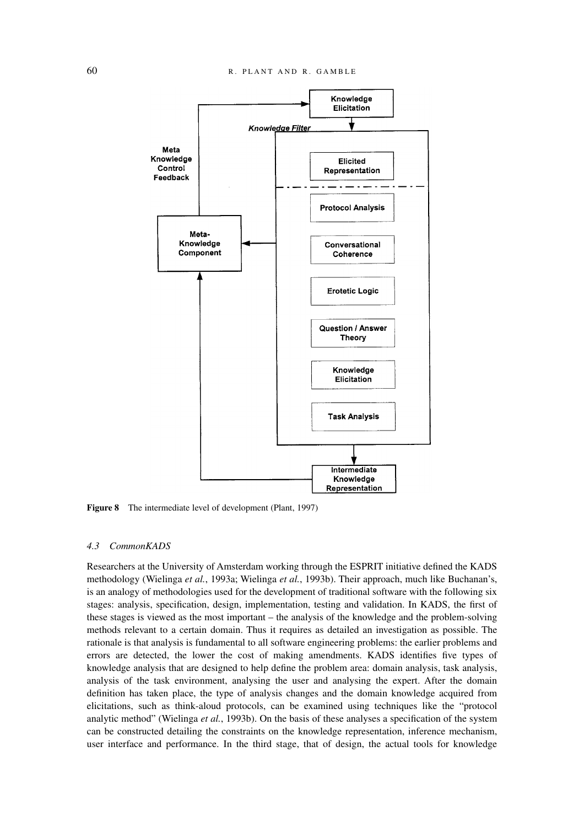

**Figure 8** The intermediate level of development (Plant, 1997)

## *4.3 CommonKADS*

Researchers at the University of Amsterdam working through the ESPRIT initiative defined the KADS methodology (Wielinga *et al.*, 1993a; Wielinga *et al.*, 1993b). Their approach, much like Buchanan's, is an analogy of methodologies used for the development of traditional software with the following six stages: analysis, specification, design, implementation, testing and validation. In KADS, the first of these stages is viewed as the most important – the analysis of the knowledge and the problem-solving methods relevant to a certain domain. Thus it requires as detailed an investigation as possible. The rationale is that analysis is fundamental to all software engineering problems: the earlier problems and errors are detected, the lower the cost of making amendments. KADS identifies five types of knowledge analysis that are designed to help define the problem area: domain analysis, task analysis, analysis of the task environment, analysing the user and analysing the expert. After the domain definition has taken place, the type of analysis changes and the domain knowledge acquired from elicitations, such as think-aloud protocols, can be examined using techniques like the "protocol analytic method" (Wielinga *et al.*, 1993b). On the basis of these analyses a specification of the system can be constructed detailing the constraints on the knowledge representation, inference mechanism, user interface and performance. In the third stage, that of design, the actual tools for knowledge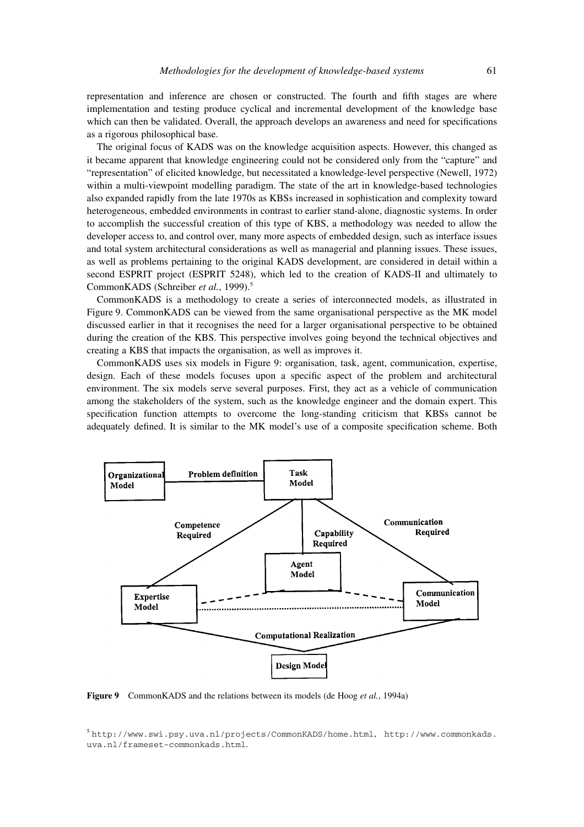representation and inference are chosen or constructed. The fourth and fifth stages are where implementation and testing produce cyclical and incremental development of the knowledge base which can then be validated. Overall, the approach develops an awareness and need for specifications as a rigorous philosophical base.

The original focus of KADS was on the knowledge acquisition aspects. However, this changed as it became apparent that knowledge engineering could not be considered only from the "capture" and "representation" of elicited knowledge, but necessitated a knowledge-level perspective (Newell, 1972) within a multi-viewpoint modelling paradigm. The state of the art in knowledge-based technologies also expanded rapidly from the late 1970s as KBSs increased in sophistication and complexity toward heterogeneous, embedded environments in contrast to earlier stand-alone, diagnostic systems. In order to accomplish the successful creation of this type of KBS, a methodology was needed to allow the developer access to, and control over, many more aspects of embedded design, such as interface issues and total system architectural considerations as well as managerial and planning issues. These issues, as well as problems pertaining to the original KADS development, are considered in detail within a second ESPRIT project (ESPRIT 5248), which led to the creation of KADS-II and ultimately to CommonKADS (Schreiber *et al.*, 1999).<sup>5</sup>

CommonKADS is a methodology to create a series of interconnected models, as illustrated in Figure 9. CommonKADS can be viewed from the same organisational perspective as the MK model discussed earlier in that it recognises the need for a larger organisational perspective to be obtained during the creation of the KBS. This perspective involves going beyond the technical objectives and creating a KBS that impacts the organisation, as well as improves it.

CommonKADS uses six models in Figure 9: organisation, task, agent, communication, expertise, design. Each of these models focuses upon a specific aspect of the problem and architectural environment. The six models serve several purposes. First, they act as a vehicle of communication among the stakeholders of the system, such as the knowledge engineer and the domain expert. This specification function attempts to overcome the long-standing criticism that KBSs cannot be adequately defined. It is similar to the MK model's use of a composite specification scheme. Both



**Figure 9** CommonKADS and the relations between its models (de Hoog *et al.*, 1994a)

<sup>5</sup> http://www.swi.psy.uva.nl/projects/CommonKADS/home.html, http://www.commonkads. uva.nl/frameset-commonkads.html.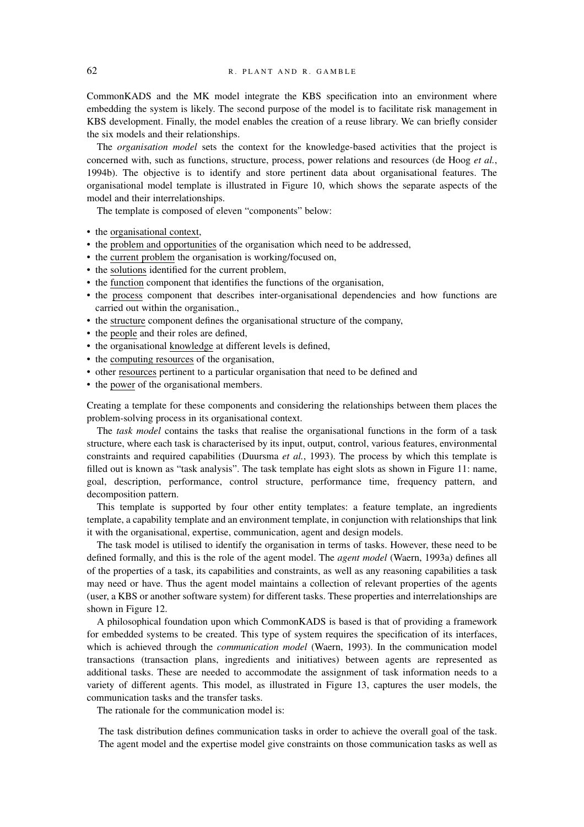CommonKADS and the MK model integrate the KBS specification into an environment where embedding the system is likely. The second purpose of the model is to facilitate risk management in KBS development. Finally, the model enables the creation of a reuse library. We can briefly consider the six models and their relationships.

The *organisation model* sets the context for the knowledge-based activities that the project is concerned with, such as functions, structure, process, power relations and resources (de Hoog *et al.*, 1994b). The objective is to identify and store pertinent data about organisational features. The organisational model template is illustrated in Figure 10, which shows the separate aspects of the model and their interrelationships.

The template is composed of eleven "components" below:

- the organisational context.
- the problem and opportunities of the organisation which need to be addressed,
- the current problem the organisation is working/focused on,
- the solutions identified for the current problem,
- the function component that identifies the functions of the organisation,
- the process component that describes inter-organisational dependencies and how functions are carried out within the organisation.,
- the structure component defines the organisational structure of the company,
- the people and their roles are defined,
- the organisational knowledge at different levels is defined,
- the computing resources of the organisation,
- other resources pertinent to a particular organisation that need to be defined and
- the power of the organisational members.

Creating a template for these components and considering the relationships between them places the problem-solving process in its organisational context.

The *task model* contains the tasks that realise the organisational functions in the form of a task structure, where each task is characterised by its input, output, control, various features, environmental constraints and required capabilities (Duursma *et al.*, 1993). The process by which this template is filled out is known as "task analysis". The task template has eight slots as shown in Figure 11: name, goal, description, performance, control structure, performance time, frequency pattern, and decomposition pattern.

This template is supported by four other entity templates: a feature template, an ingredients template, a capability template and an environment template, in conjunction with relationships that link it with the organisational, expertise, communication, agent and design models.

The task model is utilised to identify the organisation in terms of tasks. However, these need to be defined formally, and this is the role of the agent model. The *agent model* (Waern, 1993a) defines all of the properties of a task, its capabilities and constraints, as well as any reasoning capabilities a task may need or have. Thus the agent model maintains a collection of relevant properties of the agents (user, a KBS or another software system) for different tasks. These properties and interrelationships are shown in Figure 12.

A philosophical foundation upon which CommonKADS is based is that of providing a framework for embedded systems to be created. This type of system requires the specification of its interfaces, which is achieved through the *communication model* (Waern, 1993). In the communication model transactions (transaction plans, ingredients and initiatives) between agents are represented as additional tasks. These are needed to accommodate the assignment of task information needs to a variety of different agents. This model, as illustrated in Figure 13, captures the user models, the communication tasks and the transfer tasks.

The rationale for the communication model is:

The task distribution defines communication tasks in order to achieve the overall goal of the task. The agent model and the expertise model give constraints on those communication tasks as well as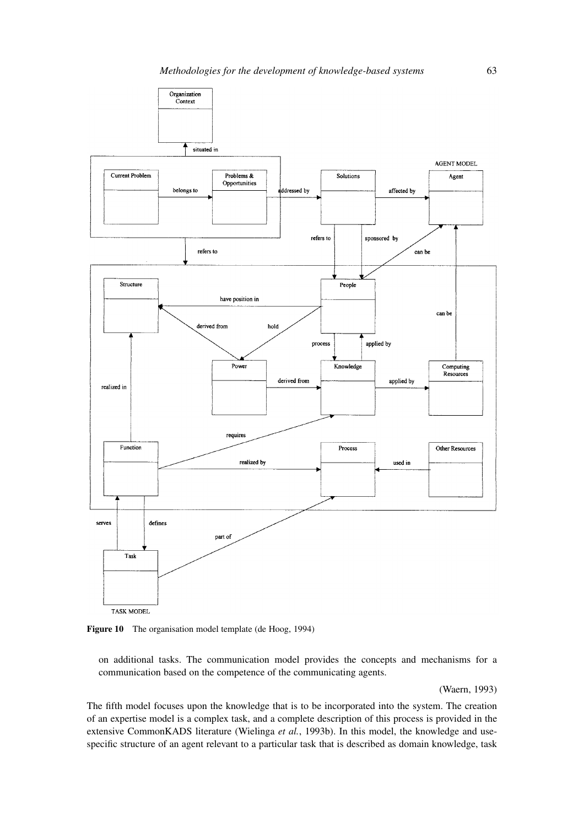

Figure 10 The organisation model template (de Hoog, 1994)

on additional tasks. The communication model provides the concepts and mechanisms for a communication based on the competence of the communicating agents.

## (Waern, 1993)

The fifth model focuses upon the knowledge that is to be incorporated into the system. The creation of an expertise model is a complex task, and a complete description of this process is provided in the extensive CommonKADS literature (Wielinga *et al.*, 1993b). In this model, the knowledge and usespecific structure of an agent relevant to a particular task that is described as domain knowledge, task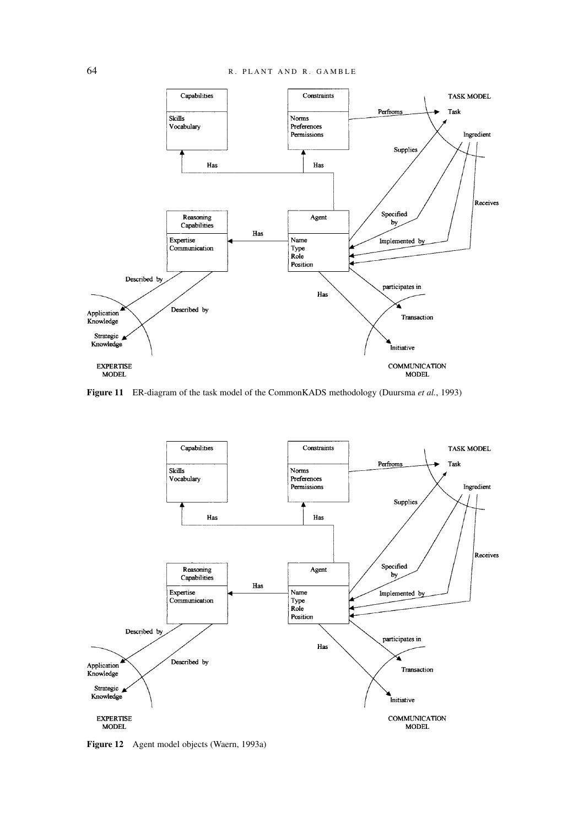

**Figure 11** ER-diagram of the task model of the CommonKADS methodology (Duursma *et al.*, 1993)



**Figure 12** Agent model objects (Waern, 1993a)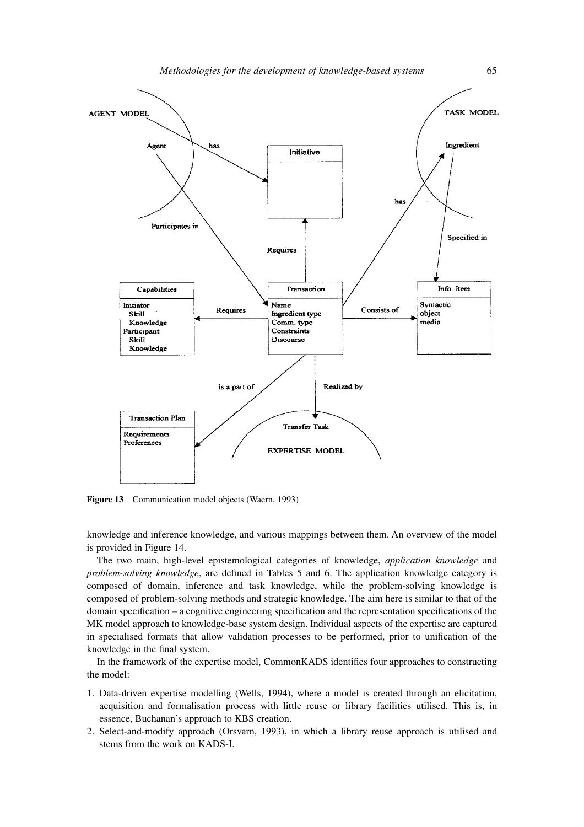

Figure 13 Communication model objects (Waern, 1993)

knowledge and inference knowledge, and various mappings between them. An overview of the model is provided in Figure 14.

The two main, high-level epistemological categories of knowledge, *application knowledge* and *problem-solving knowledge*, are defined in Tables 5 and 6. The application knowledge category is composed of domain, inference and task knowledge, while the problem-solving knowledge is composed of problem-solving methods and strategic knowledge. The aim here is similar to that of the domain specification – a cognitive engineering specification and the representation specifications of the MK model approach to knowledge-base system design. Individual aspects of the expertise are captured in specialised formats that allow validation processes to be performed, prior to unification of the knowledge in the final system.

In the framework of the expertise model, CommonKADS identifies four approaches to constructing the model:

- 1. Data-driven expertise modelling (Wells, 1994), where a model is created through an elicitation, acquisition and formalisation process with little reuse or library facilities utilised. This is, in essence, Buchanan's approach to KBS creation.
- 2. Select-and-modify approach (Orsvarn, 1993), in which a library reuse approach is utilised and stems from the work on KADS-I.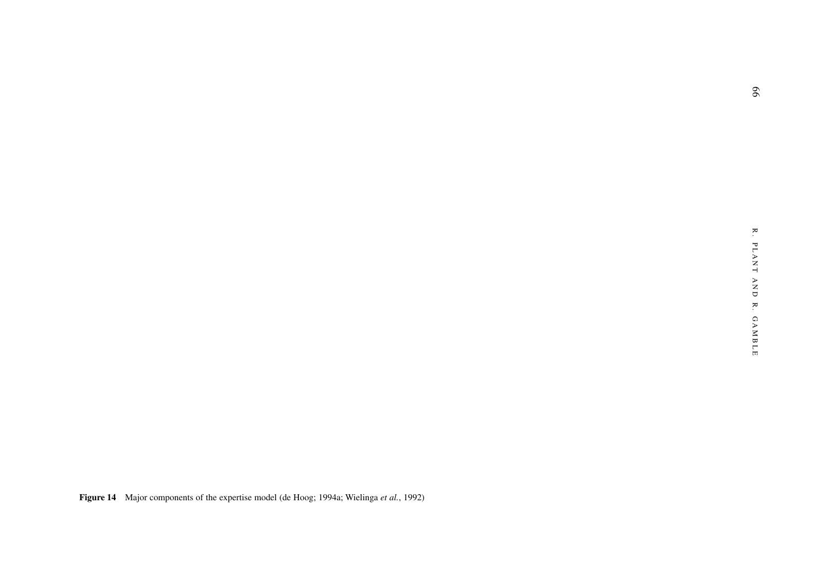**Figure 14** Major components of the expertise model (de Hoog; 1994a; Wielinga *et al.*, 1992)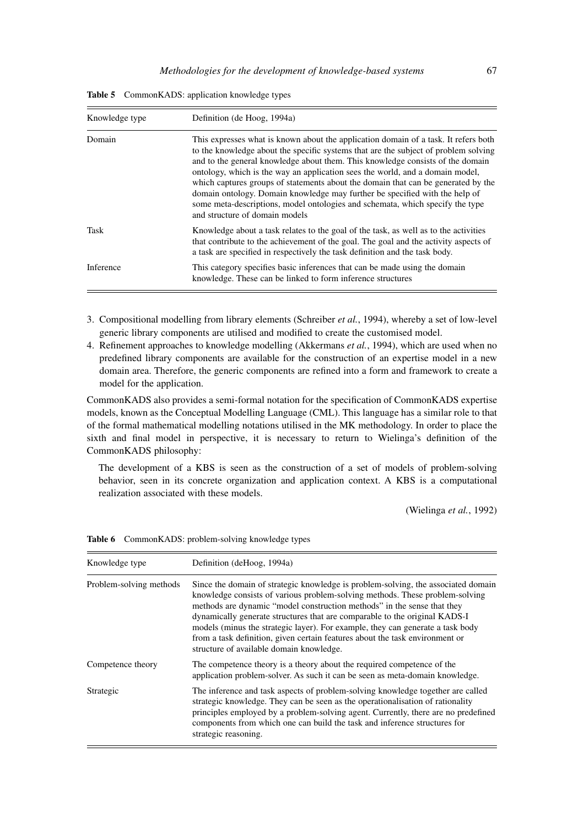| Knowledge type | Definition (de Hoog, 1994a)                                                                                                                                                                                                                                                                                                                                                                                                                                                                                                                                                                                                          |
|----------------|--------------------------------------------------------------------------------------------------------------------------------------------------------------------------------------------------------------------------------------------------------------------------------------------------------------------------------------------------------------------------------------------------------------------------------------------------------------------------------------------------------------------------------------------------------------------------------------------------------------------------------------|
| Domain         | This expresses what is known about the application domain of a task. It refers both<br>to the knowledge about the specific systems that are the subject of problem solving<br>and to the general knowledge about them. This knowledge consists of the domain<br>ontology, which is the way an application sees the world, and a domain model,<br>which captures groups of statements about the domain that can be generated by the<br>domain ontology. Domain knowledge may further be specified with the help of<br>some meta-descriptions, model ontologies and schemata, which specify the type<br>and structure of domain models |
| Task           | Knowledge about a task relates to the goal of the task, as well as to the activities<br>that contribute to the achievement of the goal. The goal and the activity aspects of<br>a task are specified in respectively the task definition and the task body.                                                                                                                                                                                                                                                                                                                                                                          |
| Inference      | This category specifies basic inferences that can be made using the domain<br>knowledge. These can be linked to form inference structures                                                                                                                                                                                                                                                                                                                                                                                                                                                                                            |

Table 5 CommonKADS: application knowledge types

- 3. Compositional modelling from library elements (Schreiber *et al.*, 1994), whereby a set of low-level generic library components are utilised and modified to create the customised model.
- 4. Refinement approaches to knowledge modelling (Akkermans *et al.*, 1994), which are used when no predefined library components are available for the construction of an expertise model in a new domain area. Therefore, the generic components are refined into a form and framework to create a model for the application.

CommonKADS also provides a semi-formal notation for the specification of CommonKADS expertise models, known as the Conceptual Modelling Language (CML). This language has a similar role to that of the formal mathematical modelling notations utilised in the MK methodology. In order to place the sixth and final model in perspective, it is necessary to return to Wielinga's definition of the CommonKADS philosophy:

The development of a KBS is seen as the construction of a set of models of problem-solving behavior, seen in its concrete organization and application context. A KBS is a computational realization associated with these models.

(Wielinga *et al.*, 1992)

| Knowledge type          | Definition (deHoog, 1994a)                                                                                                                                                                                                                                                                                                                                                                                                                                                                                                               |  |  |  |  |
|-------------------------|------------------------------------------------------------------------------------------------------------------------------------------------------------------------------------------------------------------------------------------------------------------------------------------------------------------------------------------------------------------------------------------------------------------------------------------------------------------------------------------------------------------------------------------|--|--|--|--|
| Problem-solving methods | Since the domain of strategic knowledge is problem-solving, the associated domain<br>knowledge consists of various problem-solving methods. These problem-solving<br>methods are dynamic "model construction methods" in the sense that they<br>dynamically generate structures that are comparable to the original KADS-I<br>models (minus the strategic layer). For example, they can generate a task body<br>from a task definition, given certain features about the task environment or<br>structure of available domain knowledge. |  |  |  |  |
| Competence theory       | The competence theory is a theory about the required competence of the<br>application problem-solver. As such it can be seen as meta-domain knowledge.                                                                                                                                                                                                                                                                                                                                                                                   |  |  |  |  |
| Strategic               | The inference and task aspects of problem-solving knowledge together are called<br>strategic knowledge. They can be seen as the operationalisation of rationality<br>principles employed by a problem-solving agent. Currently, there are no predefined<br>components from which one can build the task and inference structures for<br>strategic reasoning.                                                                                                                                                                             |  |  |  |  |

**Table 6** CommonKADS: problem-solving knowledge types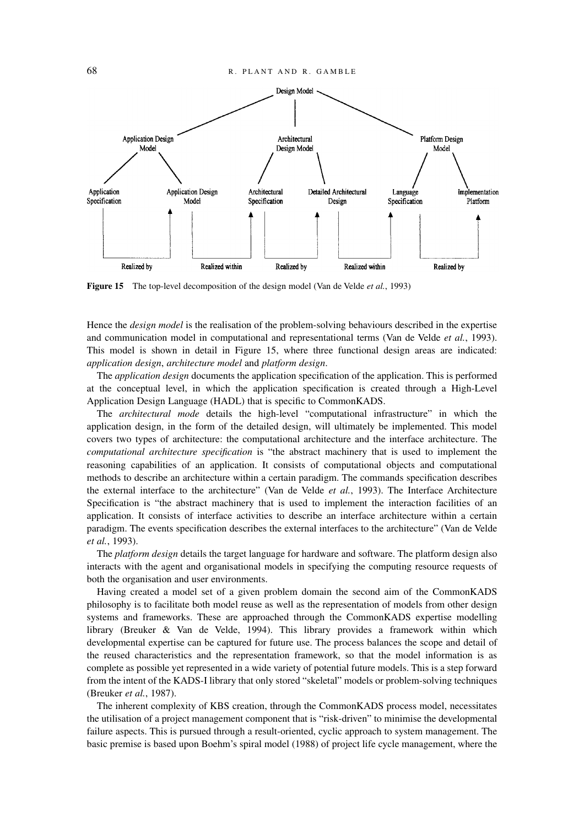

**Figure 15** The top-level decomposition of the design model (Van de Velde *et al.*, 1993)

Hence the *design model* is the realisation of the problem-solving behaviours described in the expertise and communication model in computational and representational terms (Van de Velde *et al.*, 1993). This model is shown in detail in Figure 15, where three functional design areas are indicated: *application design*, *architecture model* and *platform design*.

The *application design* documents the application specification of the application. This is performed at the conceptual level, in which the application specification is created through a High-Level Application Design Language (HADL) that is specific to CommonKADS.

The *architectural mode* details the high-level "computational infrastructure" in which the application design, in the form of the detailed design, will ultimately be implemented. This model covers two types of architecture: the computational architecture and the interface architecture. The *computational architecture specification* is "the abstract machinery that is used to implement the reasoning capabilities of an application. It consists of computational objects and computational methods to describe an architecture within a certain paradigm. The commands specification describes the external interface to the architecture" (Van de Velde *et al.*, 1993). The Interface Architecture Specification is "the abstract machinery that is used to implement the interaction facilities of an application. It consists of interface activities to describe an interface architecture within a certain paradigm. The events specification describes the external interfaces to the architecture" (Van de Velde *et al.*, 1993).

The *platform design* details the target language for hardware and software. The platform design also interacts with the agent and organisational models in specifying the computing resource requests of both the organisation and user environments.

Having created a model set of a given problem domain the second aim of the CommonKADS philosophy is to facilitate both model reuse as well as the representation of models from other design systems and frameworks. These are approached through the CommonKADS expertise modelling library (Breuker & Van de Velde, 1994). This library provides a framework within which developmental expertise can be captured for future use. The process balances the scope and detail of the reused characteristics and the representation framework, so that the model information is as complete as possible yet represented in a wide variety of potential future models. This is a step forward from the intent of the KADS-I library that only stored "skeletal" models or problem-solving techniques (Breuker *et al.*, 1987).

The inherent complexity of KBS creation, through the CommonKADS process model, necessitates the utilisation of a project management component that is "risk-driven" to minimise the developmental failure aspects. This is pursued through a result-oriented, cyclic approach to system management. The basic premise is based upon Boehm's spiral model (1988) of project life cycle management, where the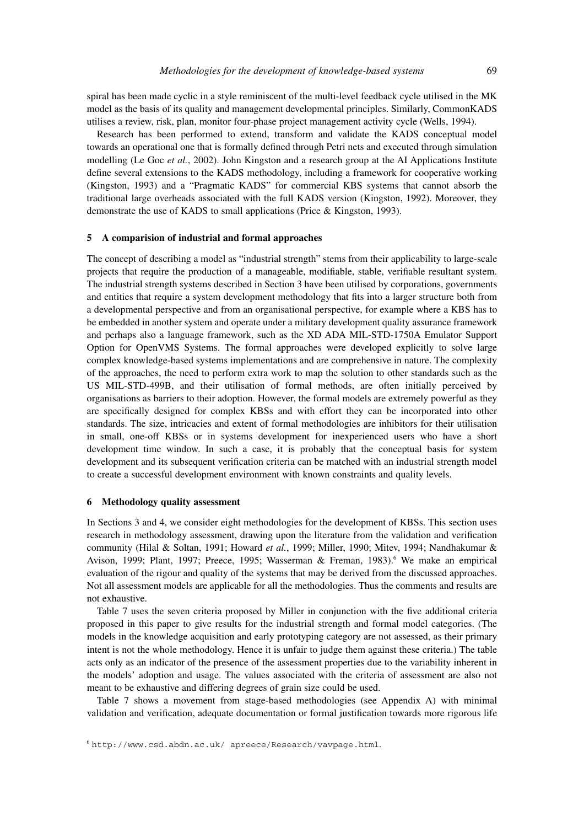spiral has been made cyclic in a style reminiscent of the multi-level feedback cycle utilised in the MK model as the basis of its quality and management developmental principles. Similarly, CommonKADS utilises a review, risk, plan, monitor four-phase project management activity cycle (Wells, 1994).

Research has been performed to extend, transform and validate the KADS conceptual model towards an operational one that is formally defined through Petri nets and executed through simulation modelling (Le Goc *et al.*, 2002). John Kingston and a research group at the AI Applications Institute define several extensions to the KADS methodology, including a framework for cooperative working (Kingston, 1993) and a "Pragmatic KADS" for commercial KBS systems that cannot absorb the traditional large overheads associated with the full KADS version (Kingston, 1992). Moreover, they demonstrate the use of KADS to small applications (Price & Kingston, 1993).

### **5 A comparision of industrial and formal approaches**

The concept of describing a model as "industrial strength" stems from their applicability to large-scale projects that require the production of a manageable, modifiable, stable, verifiable resultant system. The industrial strength systems described in Section 3 have been utilised by corporations, governments and entities that require a system development methodology that fits into a larger structure both from a developmental perspective and from an organisational perspective, for example where a KBS has to be embedded in another system and operate under a military development quality assurance framework and perhaps also a language framework, such as the XD ADA MIL-STD-1750A Emulator Support Option for OpenVMS Systems. The formal approaches were developed explicitly to solve large complex knowledge-based systems implementations and are comprehensive in nature. The complexity of the approaches, the need to perform extra work to map the solution to other standards such as the US MIL-STD-499B, and their utilisation of formal methods, are often initially perceived by organisations as barriers to their adoption. However, the formal models are extremely powerful as they are specifically designed for complex KBSs and with effort they can be incorporated into other standards. The size, intricacies and extent of formal methodologies are inhibitors for their utilisation in small, one-off KBSs or in systems development for inexperienced users who have a short development time window. In such a case, it is probably that the conceptual basis for system development and its subsequent verification criteria can be matched with an industrial strength model to create a successful development environment with known constraints and quality levels.

### **6 Methodology quality assessment**

In Sections 3 and 4, we consider eight methodologies for the development of KBSs. This section uses research in methodology assessment, drawing upon the literature from the validation and verification community (Hilal & Soltan, 1991; Howard *et al.*, 1999; Miller, 1990; Mitev, 1994; Nandhakumar & Avison, 1999; Plant, 1997; Preece, 1995; Wasserman & Freman, 1983).<sup>6</sup> We make an empirical evaluation of the rigour and quality of the systems that may be derived from the discussed approaches. Not all assessment models are applicable for all the methodologies. Thus the comments and results are not exhaustive.

Table 7 uses the seven criteria proposed by Miller in conjunction with the five additional criteria proposed in this paper to give results for the industrial strength and formal model categories. (The models in the knowledge acquisition and early prototyping category are not assessed, as their primary intent is not the whole methodology. Hence it is unfair to judge them against these criteria.) The table acts only as an indicator of the presence of the assessment properties due to the variability inherent in the models' adoption and usage. The values associated with the criteria of assessment are also not meant to be exhaustive and differing degrees of grain size could be used.

Table 7 shows a movement from stage-based methodologies (see Appendix A) with minimal validation and verification, adequate documentation or formal justification towards more rigorous life

 $6$ http://www.csd.abdn.ac.uk/ apreece/Research/vavpage.html.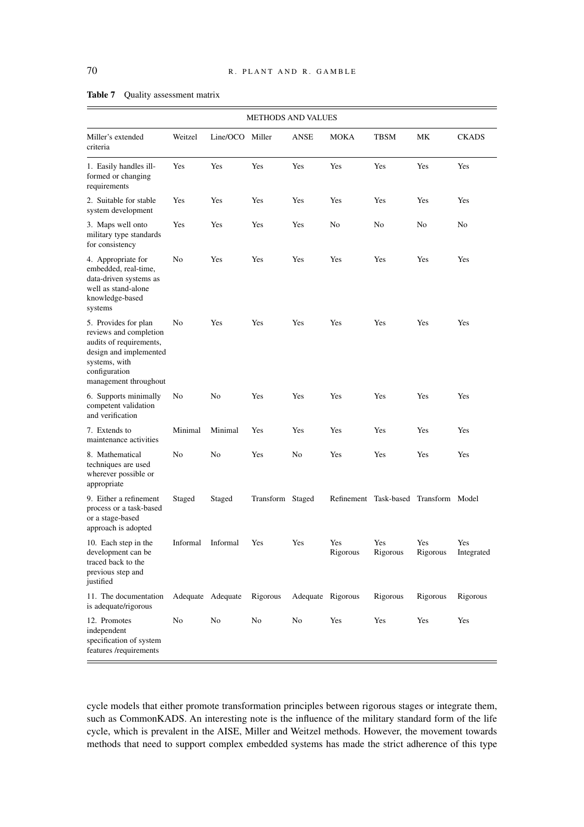|                                                                                                                                                                |          |                   | <b>METHODS AND VALUES</b> |                   |                 |                                       |                 |                   |
|----------------------------------------------------------------------------------------------------------------------------------------------------------------|----------|-------------------|---------------------------|-------------------|-----------------|---------------------------------------|-----------------|-------------------|
| Miller's extended<br>criteria                                                                                                                                  | Weitzel  | Line/OCO Miller   |                           | ANSE              | <b>MOKA</b>     | <b>TBSM</b>                           | МK              | <b>CKADS</b>      |
| 1. Easily handles ill-<br>formed or changing<br>requirements                                                                                                   | Yes      | Yes               | Yes                       | Yes               | Yes             | Yes                                   | Yes             | Yes               |
| 2. Suitable for stable<br>system development                                                                                                                   | Yes      | Yes               | Yes                       | Yes               | Yes             | Yes                                   | Yes             | Yes               |
| 3. Maps well onto<br>military type standards<br>for consistency                                                                                                | Yes      | Yes               | Yes                       | Yes               | N <sub>0</sub>  | No                                    | No              | No                |
| 4. Appropriate for<br>embedded, real-time,<br>data-driven systems as<br>well as stand-alone<br>knowledge-based<br>systems                                      | No       | Yes               | Yes                       | Yes               | Yes             | Yes                                   | Yes             | Yes               |
| 5. Provides for plan<br>reviews and completion<br>audits of requirements,<br>design and implemented<br>systems, with<br>configuration<br>management throughout | No       | Yes               | <b>Yes</b>                | Yes               | <b>Yes</b>      | Yes                                   | Yes             | Yes               |
| 6. Supports minimally<br>competent validation<br>and verification                                                                                              | No       | No                | Yes                       | Yes               | Yes             | Yes                                   | Yes             | Yes               |
| 7. Extends to<br>maintenance activities                                                                                                                        | Minimal  | Minimal           | Yes                       | Yes               | Yes             | Yes                                   | Yes             | Yes               |
| 8. Mathematical<br>techniques are used<br>wherever possible or<br>appropriate                                                                                  | No       | No                | Yes                       | No                | Yes             | Yes                                   | Yes             | Yes               |
| 9. Either a refinement<br>process or a task-based<br>or a stage-based<br>approach is adopted                                                                   | Staged   | Staged            | Transform Staged          |                   |                 | Refinement Task-based Transform Model |                 |                   |
| 10. Each step in the<br>development can be<br>traced back to the<br>previous step and<br>justified                                                             | Informal | Informal          | Yes                       | Yes               | Yes<br>Rigorous | Yes<br>Rigorous                       | Yes<br>Rigorous | Yes<br>Integrated |
| 11. The documentation<br>is adequate/rigorous                                                                                                                  |          | Adequate Adequate | Rigorous                  | Adequate Rigorous |                 | Rigorous                              | Rigorous        | Rigorous          |
| 12. Promotes<br>independent<br>specification of system<br>features /requirements                                                                               | No       | No                | No                        | No                | Yes             | Yes                                   | Yes             | Yes               |

cycle models that either promote transformation principles between rigorous stages or integrate them, such as CommonKADS. An interesting note is the influence of the military standard form of the life cycle, which is prevalent in the AISE, Miller and Weitzel methods. However, the movement towards methods that need to support complex embedded systems has made the strict adherence of this type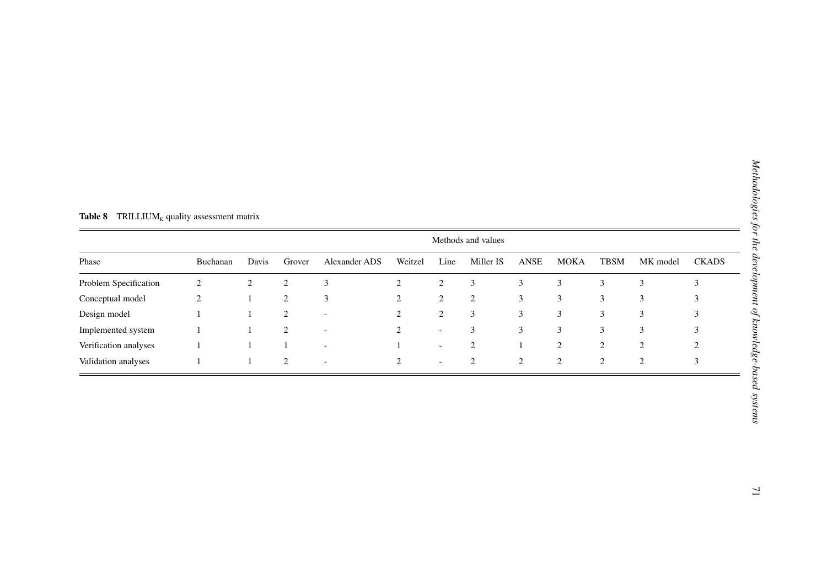Methods and values Phase Buchanan Davis Grover Alexander ADS Weitzel Line Miller IS ANSE MOKA TBSM MK model CKADS**CKADS** Problem Specification 2 2 2 3 2 2 3 3 3 3 3 Conceptual model 2 1 2 3 2 2 3 3 3 3 3 Design model 1 1 2 - 2 2 3 3 3 3 3 3 Implemented system 1 1 2 - 2 - 3 3 3 3 3 3 Verification analyses 1 1 1 - 1 - 1 2 1 2 2 2 Validation analyses 1 1 2 - 2 2 2 2 3

#### **Table 8** TRILLIUM<sub>K</sub> quality assessment matrix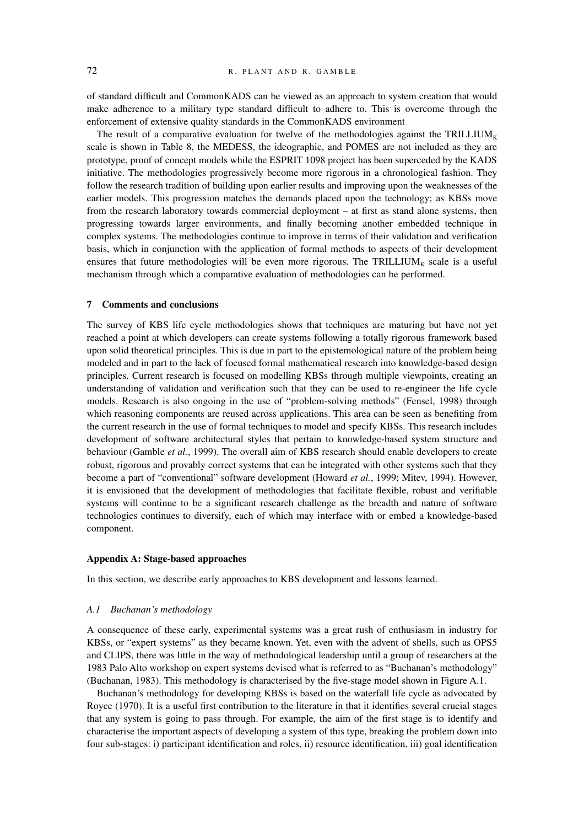of standard difficult and CommonKADS can be viewed as an approach to system creation that would make adherence to a military type standard difficult to adhere to. This is overcome through the enforcement of extensive quality standards in the CommonKADS environment

The result of a comparative evaluation for twelve of the methodologies against the TRILLIUM<sub>K</sub> scale is shown in Table 8, the MEDESS, the ideographic, and POMES are not included as they are prototype, proof of concept models while the ESPRIT 1098 project has been superceded by the KADS initiative. The methodologies progressively become more rigorous in a chronological fashion. They follow the research tradition of building upon earlier results and improving upon the weaknesses of the earlier models. This progression matches the demands placed upon the technology; as KBSs move from the research laboratory towards commercial deployment – at first as stand alone systems, then progressing towards larger environments, and finally becoming another embedded technique in complex systems. The methodologies continue to improve in terms of their validation and verification basis, which in conjunction with the application of formal methods to aspects of their development ensures that future methodologies will be even more rigorous. The TRILLIUM<sub>K</sub> scale is a useful mechanism through which a comparative evaluation of methodologies can be performed.

#### **7 Comments and conclusions**

The survey of KBS life cycle methodologies shows that techniques are maturing but have not yet reached a point at which developers can create systems following a totally rigorous framework based upon solid theoretical principles. This is due in part to the epistemological nature of the problem being modeled and in part to the lack of focused formal mathematical research into knowledge-based design principles. Current research is focused on modelling KBSs through multiple viewpoints, creating an understanding of validation and verification such that they can be used to re-engineer the life cycle models. Research is also ongoing in the use of "problem-solving methods" (Fensel, 1998) through which reasoning components are reused across applications. This area can be seen as benefiting from the current research in the use of formal techniques to model and specify KBSs. This research includes development of software architectural styles that pertain to knowledge-based system structure and behaviour (Gamble *et al.*, 1999). The overall aim of KBS research should enable developers to create robust, rigorous and provably correct systems that can be integrated with other systems such that they become a part of "conventional" software development (Howard *et al.*, 1999; Mitev, 1994). However, it is envisioned that the development of methodologies that facilitate flexible, robust and verifiable systems will continue to be a significant research challenge as the breadth and nature of software technologies continues to diversify, each of which may interface with or embed a knowledge-based component.

#### **Appendix A: Stage-based approaches**

In this section, we describe early approaches to KBS development and lessons learned.

#### *A.1 Buchanan's methodology*

A consequence of these early, experimental systems was a great rush of enthusiasm in industry for KBSs, or "expert systems" as they became known. Yet, even with the advent of shells, such as OPS5 and CLIPS, there was little in the way of methodological leadership until a group of researchers at the 1983 Palo Alto workshop on expert systems devised what is referred to as "Buchanan's methodology" (Buchanan, 1983). This methodology is characterised by the five-stage model shown in Figure A.1.

Buchanan's methodology for developing KBSs is based on the waterfall life cycle as advocated by Royce (1970). It is a useful first contribution to the literature in that it identifies several crucial stages that any system is going to pass through. For example, the aim of the first stage is to identify and characterise the important aspects of developing a system of this type, breaking the problem down into four sub-stages: i) participant identification and roles, ii) resource identification, iii) goal identification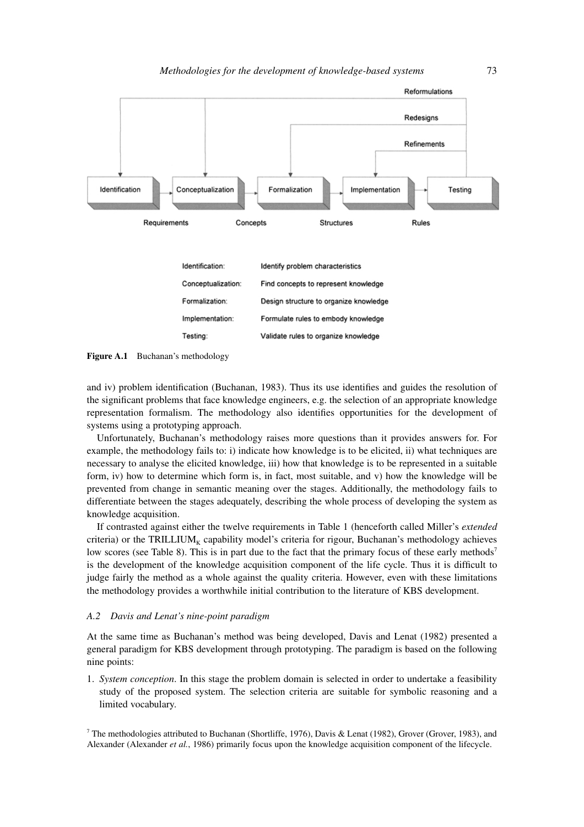

Figure A.1 Buchanan's methodology

and iv) problem identification (Buchanan, 1983). Thus its use identifies and guides the resolution of the significant problems that face knowledge engineers, e.g. the selection of an appropriate knowledge representation formalism. The methodology also identifies opportunities for the development of systems using a prototyping approach.

Unfortunately, Buchanan's methodology raises more questions than it provides answers for. For example, the methodology fails to: i) indicate how knowledge is to be elicited, ii) what techniques are necessary to analyse the elicited knowledge, iii) how that knowledge is to be represented in a suitable form, iv) how to determine which form is, in fact, most suitable, and v) how the knowledge will be prevented from change in semantic meaning over the stages. Additionally, the methodology fails to differentiate between the stages adequately, describing the whole process of developing the system as knowledge acquisition.

If contrasted against either the twelve requirements in Table 1 (henceforth called Miller's *extended* criteria) or the TRILLIUM<sub>K</sub> capability model's criteria for rigour, Buchanan's methodology achieves low scores (see Table 8). This is in part due to the fact that the primary focus of these early methods<sup>7</sup> is the development of the knowledge acquisition component of the life cycle. Thus it is difficult to judge fairly the method as a whole against the quality criteria. However, even with these limitations the methodology provides a worthwhile initial contribution to the literature of KBS development.

## *A.2 Davis and Lenat's nine-point paradigm*

At the same time as Buchanan's method was being developed, Davis and Lenat (1982) presented a general paradigm for KBS development through prototyping. The paradigm is based on the following nine points:

1. *System conception*. In this stage the problem domain is selected in order to undertake a feasibility study of the proposed system. The selection criteria are suitable for symbolic reasoning and a limited vocabulary.

<sup>7</sup> The methodologies attributed to Buchanan (Shortliffe, 1976), Davis & Lenat (1982), Grover (Grover, 1983), and Alexander (Alexander *et al.*, 1986) primarily focus upon the knowledge acquisition component of the lifecycle.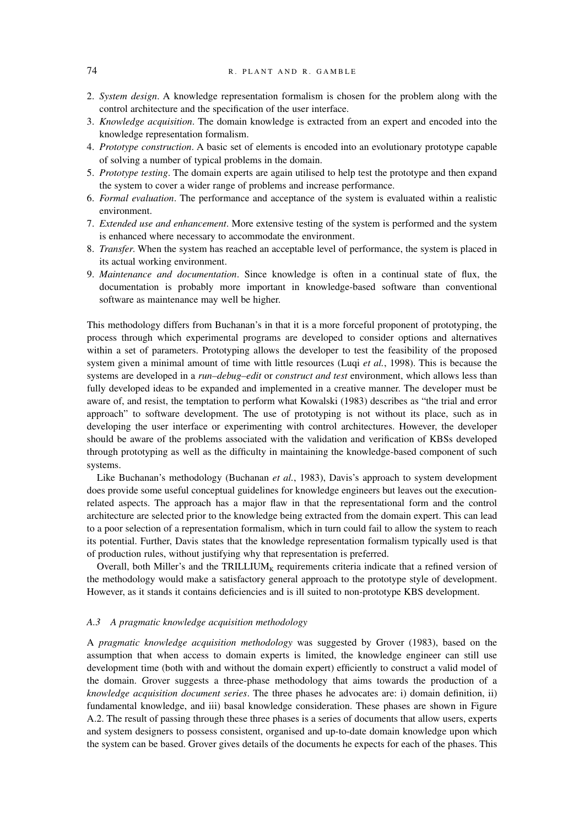- 2. *System design*. A knowledge representation formalism is chosen for the problem along with the control architecture and the specification of the user interface.
- 3. *Knowledge acquisition*. The domain knowledge is extracted from an expert and encoded into the knowledge representation formalism.
- 4. *Prototype construction*. A basic set of elements is encoded into an evolutionary prototype capable of solving a number of typical problems in the domain.
- 5. *Prototype testing*. The domain experts are again utilised to help test the prototype and then expand the system to cover a wider range of problems and increase performance.
- 6. *Formal evaluation*. The performance and acceptance of the system is evaluated within a realistic environment.
- 7. *Extended use and enhancement*. More extensive testing of the system is performed and the system is enhanced where necessary to accommodate the environment.
- 8. *Transfer*. When the system has reached an acceptable level of performance, the system is placed in its actual working environment.
- 9. *Maintenance and documentation*. Since knowledge is often in a continual state of flux, the documentation is probably more important in knowledge-based software than conventional software as maintenance may well be higher.

This methodology differs from Buchanan's in that it is a more forceful proponent of prototyping, the process through which experimental programs are developed to consider options and alternatives within a set of parameters. Prototyping allows the developer to test the feasibility of the proposed system given a minimal amount of time with little resources (Luqi *et al.*, 1998). This is because the systems are developed in a *run–debug–edit* or *construct and test* environment, which allows less than fully developed ideas to be expanded and implemented in a creative manner. The developer must be aware of, and resist, the temptation to perform what Kowalski (1983) describes as "the trial and error approach" to software development. The use of prototyping is not without its place, such as in developing the user interface or experimenting with control architectures. However, the developer should be aware of the problems associated with the validation and verification of KBSs developed through prototyping as well as the difficulty in maintaining the knowledge-based component of such systems.

Like Buchanan's methodology (Buchanan *et al.*, 1983), Davis's approach to system development does provide some useful conceptual guidelines for knowledge engineers but leaves out the executionrelated aspects. The approach has a major flaw in that the representational form and the control architecture are selected prior to the knowledge being extracted from the domain expert. This can lead to a poor selection of a representation formalism, which in turn could fail to allow the system to reach its potential. Further, Davis states that the knowledge representation formalism typically used is that of production rules, without justifying why that representation is preferred.

Overall, both Miller's and the TRILLIUM<sub>K</sub> requirements criteria indicate that a refined version of the methodology would make a satisfactory general approach to the prototype style of development. However, as it stands it contains deficiencies and is ill suited to non-prototype KBS development.

## *A.3 A pragmatic knowledge acquisition methodology*

A *pragmatic knowledge acquisition methodology* was suggested by Grover (1983), based on the assumption that when access to domain experts is limited, the knowledge engineer can still use development time (both with and without the domain expert) efficiently to construct a valid model of the domain. Grover suggests a three-phase methodology that aims towards the production of a *knowledge acquisition document series*. The three phases he advocates are: i) domain definition, ii) fundamental knowledge, and iii) basal knowledge consideration. These phases are shown in Figure A.2. The result of passing through these three phases is a series of documents that allow users, experts and system designers to possess consistent, organised and up-to-date domain knowledge upon which the system can be based. Grover gives details of the documents he expects for each of the phases. This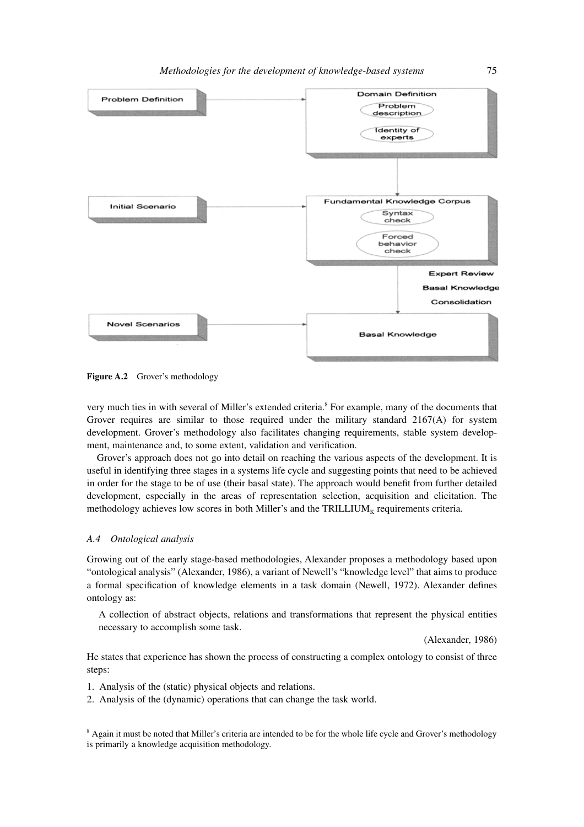

**Figure A.2** Grover's methodology

very much ties in with several of Miller's extended criteria.<sup>8</sup> For example, many of the documents that Grover requires are similar to those required under the military standard 2167(A) for system development. Grover's methodology also facilitates changing requirements, stable system development, maintenance and, to some extent, validation and verification.

Grover's approach does not go into detail on reaching the various aspects of the development. It is useful in identifying three stages in a systems life cycle and suggesting points that need to be achieved in order for the stage to be of use (their basal state). The approach would benefit from further detailed development, especially in the areas of representation selection, acquisition and elicitation. The methodology achieves low scores in both Miller's and the TRILLIUM<sub>K</sub> requirements criteria.

## *A.4 Ontological analysis*

Growing out of the early stage-based methodologies, Alexander proposes a methodology based upon "ontological analysis" (Alexander, 1986), a variant of Newell's "knowledge level" that aims to produce a formal specification of knowledge elements in a task domain (Newell, 1972). Alexander defines ontology as:

A collection of abstract objects, relations and transformations that represent the physical entities necessary to accomplish some task.

(Alexander, 1986)

He states that experience has shown the process of constructing a complex ontology to consist of three steps:

- 1. Analysis of the (static) physical objects and relations.
- 2. Analysis of the (dynamic) operations that can change the task world.

<sup>8</sup> Again it must be noted that Miller's criteria are intended to be for the whole life cycle and Grover's methodology is primarily a knowledge acquisition methodology.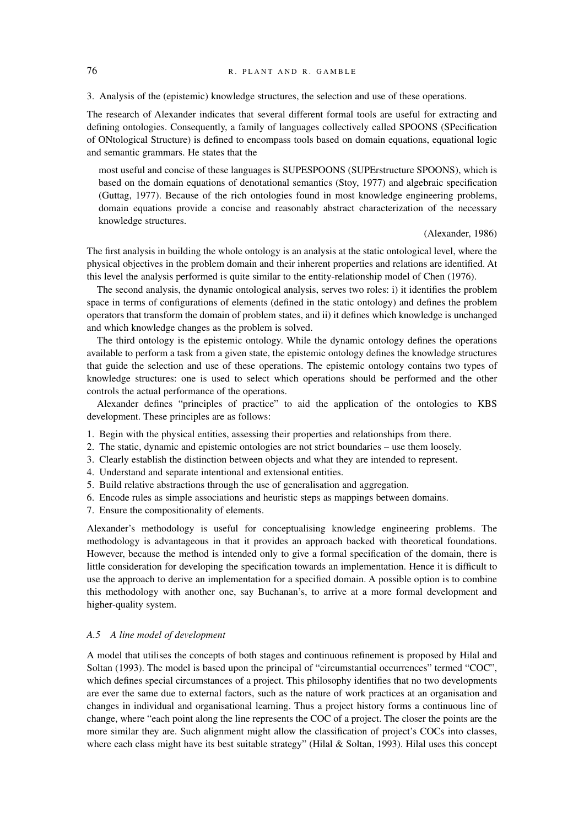3. Analysis of the (epistemic) knowledge structures, the selection and use of these operations.

The research of Alexander indicates that several different formal tools are useful for extracting and defining ontologies. Consequently, a family of languages collectively called SPOONS (SPecification of ONtological Structure) is defined to encompass tools based on domain equations, equational logic and semantic grammars. He states that the

most useful and concise of these languages is SUPESPOONS (SUPErstructure SPOONS), which is based on the domain equations of denotational semantics (Stoy, 1977) and algebraic specification (Guttag, 1977). Because of the rich ontologies found in most knowledge engineering problems, domain equations provide a concise and reasonably abstract characterization of the necessary knowledge structures.

(Alexander, 1986)

The first analysis in building the whole ontology is an analysis at the static ontological level, where the physical objectives in the problem domain and their inherent properties and relations are identified. At this level the analysis performed is quite similar to the entity-relationship model of Chen (1976).

The second analysis, the dynamic ontological analysis, serves two roles: i) it identifies the problem space in terms of configurations of elements (defined in the static ontology) and defines the problem operators that transform the domain of problem states, and ii) it defines which knowledge is unchanged and which knowledge changes as the problem is solved.

The third ontology is the epistemic ontology. While the dynamic ontology defines the operations available to perform a task from a given state, the epistemic ontology defines the knowledge structures that guide the selection and use of these operations. The epistemic ontology contains two types of knowledge structures: one is used to select which operations should be performed and the other controls the actual performance of the operations.

Alexander defines "principles of practice" to aid the application of the ontologies to KBS development. These principles are as follows:

- 1. Begin with the physical entities, assessing their properties and relationships from there.
- 2. The static, dynamic and epistemic ontologies are not strict boundaries use them loosely.
- 3. Clearly establish the distinction between objects and what they are intended to represent.
- 4. Understand and separate intentional and extensional entities.
- 5. Build relative abstractions through the use of generalisation and aggregation.
- 6. Encode rules as simple associations and heuristic steps as mappings between domains.
- 7. Ensure the compositionality of elements.

Alexander's methodology is useful for conceptualising knowledge engineering problems. The methodology is advantageous in that it provides an approach backed with theoretical foundations. However, because the method is intended only to give a formal specification of the domain, there is little consideration for developing the specification towards an implementation. Hence it is difficult to use the approach to derive an implementation for a specified domain. A possible option is to combine this methodology with another one, say Buchanan's, to arrive at a more formal development and higher-quality system.

### *A.5 A line model of development*

A model that utilises the concepts of both stages and continuous refinement is proposed by Hilal and Soltan (1993). The model is based upon the principal of "circumstantial occurrences" termed "COC", which defines special circumstances of a project. This philosophy identifies that no two developments are ever the same due to external factors, such as the nature of work practices at an organisation and changes in individual and organisational learning. Thus a project history forms a continuous line of change, where "each point along the line represents the COC of a project. The closer the points are the more similar they are. Such alignment might allow the classification of project's COCs into classes, where each class might have its best suitable strategy" (Hilal & Soltan, 1993). Hilal uses this concept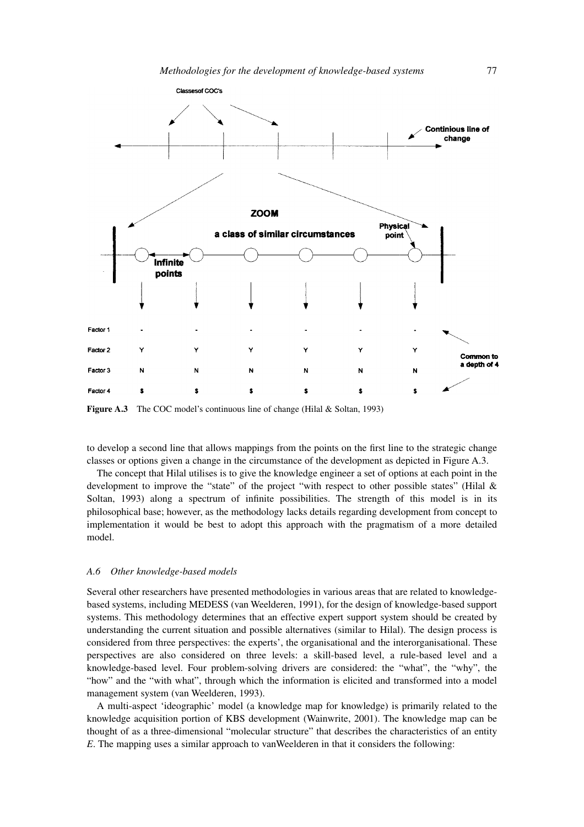

**Figure A.3** The COC model's continuous line of change (Hilal & Soltan, 1993)

to develop a second line that allows mappings from the points on the first line to the strategic change classes or options given a change in the circumstance of the development as depicted in Figure A.3.

The concept that Hilal utilises is to give the knowledge engineer a set of options at each point in the development to improve the "state" of the project "with respect to other possible states" (Hilal & Soltan, 1993) along a spectrum of infinite possibilities. The strength of this model is in its philosophical base; however, as the methodology lacks details regarding development from concept to implementation it would be best to adopt this approach with the pragmatism of a more detailed model.

## *A.6 Other knowledge-based models*

Several other researchers have presented methodologies in various areas that are related to knowledgebased systems, including MEDESS (van Weelderen, 1991), for the design of knowledge-based support systems. This methodology determines that an effective expert support system should be created by understanding the current situation and possible alternatives (similar to Hilal). The design process is considered from three perspectives: the experts', the organisational and the interorganisational. These perspectives are also considered on three levels: a skill-based level, a rule-based level and a knowledge-based level. Four problem-solving drivers are considered: the "what", the "why", the "how" and the "with what", through which the information is elicited and transformed into a model management system (van Weelderen, 1993).

A multi-aspect 'ideographic' model (a knowledge map for knowledge) is primarily related to the knowledge acquisition portion of KBS development (Wainwrite, 2001). The knowledge map can be thought of as a three-dimensional "molecular structure" that describes the characteristics of an entity *E*. The mapping uses a similar approach to vanWeelderen in that it considers the following: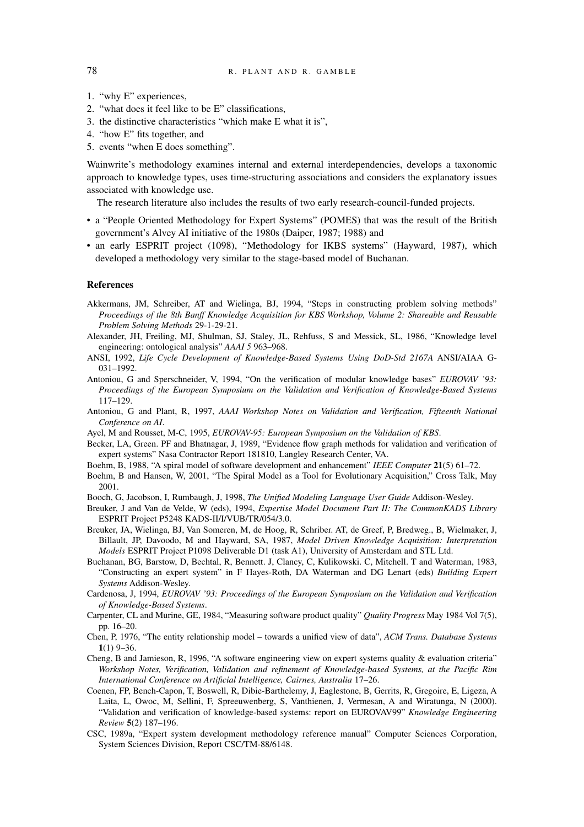- 1. "why E" experiences,
- 2. "what does it feel like to be E" classifications,
- 3. the distinctive characteristics "which make E what it is",
- 4. "how E" fits together, and
- 5. events "when E does something".

Wainwrite's methodology examines internal and external interdependencies, develops a taxonomic approach to knowledge types, uses time-structuring associations and considers the explanatory issues associated with knowledge use.

The research literature also includes the results of two early research-council-funded projects.

- a "People Oriented Methodology for Expert Systems" (POMES) that was the result of the British government's Alvey AI initiative of the 1980s (Daiper, 1987; 1988) and
- an early ESPRIT project (1098), "Methodology for IKBS systems" (Hayward, 1987), which developed a methodology very similar to the stage-based model of Buchanan.

## **References**

- Akkermans, JM, Schreiber, AT and Wielinga, BJ, 1994, "Steps in constructing problem solving methods" *Proceedings of the 8th Banff Knowledge Acquisition for KBS Workshop, Volume 2: Shareable and Reusable Problem Solving Methods* 29-1-29-21.
- Alexander, JH, Freiling, MJ, Shulman, SJ, Staley, JL, Rehfuss, S and Messick, SL, 1986, "Knowledge level engineering: ontological analysis" *AAAI 5* 963–968.
- ANSI, 1992, *Life Cycle Development of Knowledge-Based Systems Using DoD-Std 2167A* ANSI/AIAA G-031–1992.
- Antoniou, G and Sperschneider, V, 1994, "On the verification of modular knowledge bases" *EUROVAV '93: Proceedings of the European Symposium on the Validation and Verification of Knowledge-Based Systems* 117–129.
- Antoniou, G and Plant, R, 1997, *AAAI Workshop Notes on Validation and Verification, Fifteenth National Conference on AI*.
- Ayel, M and Rousset, M-C, 1995, *EUROVAV-95: European Symposium on the Validation of KBS*.
- Becker, LA, Green. PF and Bhatnagar, J, 1989, "Evidence flow graph methods for validation and verification of expert systems" Nasa Contractor Report 181810, Langley Research Center, VA.
- Boehm, B, 1988, "A spiral model of software development and enhancement" *IEEE Computer* **21**(5) 61–72.
- Boehm, B and Hansen, W, 2001, "The Spiral Model as a Tool for Evolutionary Acquisition," Cross Talk, May 2001.
- Booch, G, Jacobson, I, Rumbaugh, J, 1998, *The Unified Modeling Language User Guide* Addison-Wesley.
- Breuker, J and Van de Velde, W (eds), 1994, *Expertise Model Document Part II: The CommonKADS Library* ESPRIT Project P5248 KADS-II/I/VUB/TR/054/3.0.
- Breuker, JA, Wielinga, BJ, Van Someren, M, de Hoog, R, Schriber. AT, de Greef, P, Bredweg., B, Wielmaker, J, Billault, JP, Davoodo, M and Hayward, SA, 1987, *Model Driven Knowledge Acquisition: Interpretation Models* ESPRIT Project P1098 Deliverable D1 (task A1), University of Amsterdam and STL Ltd.
- Buchanan, BG, Barstow, D, Bechtal, R, Bennett. J, Clancy, C, Kulikowski. C, Mitchell. T and Waterman, 1983, "Constructing an expert system" in F Hayes-Roth, DA Waterman and DG Lenart (eds) *Building Expert Systems* Addison-Wesley.
- Cardenosa, J, 1994, *EUROVAV '93: Proceedings of the European Symposium on the Validation and Verification of Knowledge-Based Systems*.
- Carpenter, CL and Murine, GE, 1984, "Measuring software product quality" *Quality Progress* May 1984 Vol 7(5), pp. 16–20.
- Chen, P, 1976, "The entity relationship model towards a unified view of data", *ACM Trans. Database Systems* **1**(1) 9–36.
- Cheng, B and Jamieson, R, 1996, "A software engineering view on expert systems quality & evaluation criteria" *Workshop Notes, Verification, Validation and refinement of Knowledge-based Systems, at the Pacific Rim International Conference on Artificial Intelligence, Cairnes, Australia* 17–26.
- Coenen, FP, Bench-Capon, T, Boswell, R, Dibie-Barthelemy, J, Eaglestone, B, Gerrits, R, Gregoire, E, Ligeza, A Laita, L, Owoc, M, Sellini, F, Spreeuwenberg, S, Vanthienen, J, Vermesan, A and Wiratunga, N (2000). "Validation and verification of knowledge-based systems: report on EUROVAV99" *Knowledge Engineering Review* **5**(2) 187–196.
- CSC, 1989a, "Expert system development methodology reference manual" Computer Sciences Corporation, System Sciences Division, Report CSC/TM-88/6148.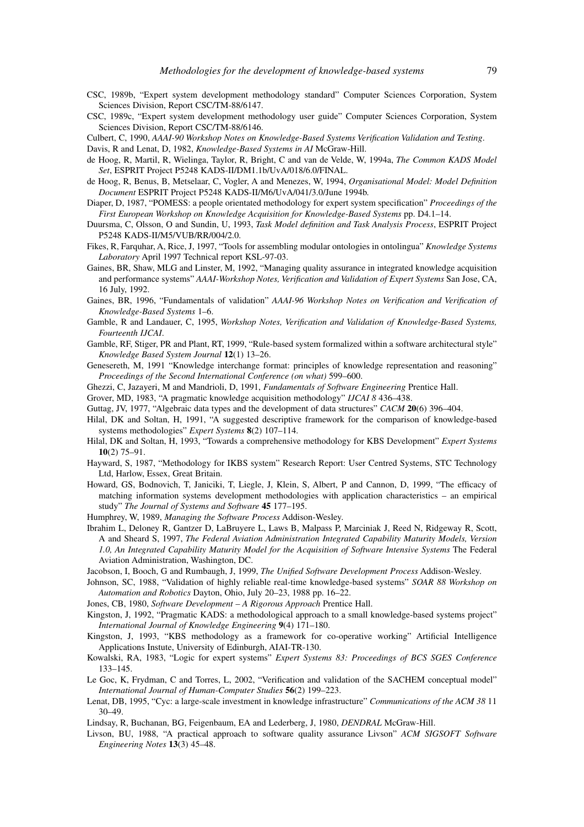- CSC, 1989b, "Expert system development methodology standard" Computer Sciences Corporation, System Sciences Division, Report CSC/TM-88/6147.
- CSC, 1989c, "Expert system development methodology user guide" Computer Sciences Corporation, System Sciences Division, Report CSC/TM-88/6146.
- Culbert, C, 1990, *AAAI-90 Workshop Notes on Knowledge-Based Systems Verification Validation and Testing*.
- Davis, R and Lenat, D, 1982, *Knowledge-Based Systems in AI* McGraw-Hill.
- de Hoog, R, Martil, R, Wielinga, Taylor, R, Bright, C and van de Velde, W, 1994a, *The Common KADS Model Set*, ESPRIT Project P5248 KADS-II/DM1.1b/UvA/018/6.0/FINAL.
- de Hoog, R, Benus, B, Metselaar, C, Vogler, A and Menezes, W, 1994, *Organisational Model: Model Definition Document* ESPRIT Project P5248 KADS-II/M6/UvA/041/3.0/June 1994b.
- Diaper, D, 1987, "POMESS: a people orientated methodology for expert system specification" *Proceedings of the First European Workshop on Knowledge Acquisition for Knowledge-Based Systems* pp. D4.1–14.
- Duursma, C, Olsson, O and Sundin, U, 1993, *Task Model definition and Task Analysis Process*, ESPRIT Project P5248 KADS-II/M5/VUB/RR/004/2.0.
- Fikes, R, Farquhar, A, Rice, J, 1997, "Tools for assembling modular ontologies in ontolingua" *Knowledge Systems Laboratory* April 1997 Technical report KSL-97-03.
- Gaines, BR, Shaw, MLG and Linster, M, 1992, "Managing quality assurance in integrated knowledge acquisition and performance systems" *AAAI-Workshop Notes, Verification and Validation of Expert Systems* San Jose, CA, 16 July, 1992.
- Gaines, BR, 1996, "Fundamentals of validation" *AAAI-96 Workshop Notes on Verification and Verification of Knowledge-Based Systems* 1–6.
- Gamble, R and Landauer, C, 1995, *Workshop Notes, Verification and Validation of Knowledge-Based Systems, Fourteenth IJCAI*.
- Gamble, RF, Stiger, PR and Plant, RT, 1999, "Rule-based system formalized within a software architectural style" *Knowledge Based System Journal* **12**(1) 13–26.
- Genesereth, M, 1991 "Knowledge interchange format: principles of knowledge representation and reasoning" *Proceedings of the Second International Conference (on what)* 599–600.
- Ghezzi, C, Jazayeri, M and Mandrioli, D, 1991, *Fundamentals of Software Engineering* Prentice Hall.
- Grover, MD, 1983, "A pragmatic knowledge acquisition methodology" *IJCAI 8* 436–438.
- Guttag, JV, 1977, "Algebraic data types and the development of data structures" *CACM* **20**(6) 396–404.
- Hilal, DK and Soltan, H, 1991, "A suggested descriptive framework for the comparison of knowledge-based systems methodologies" *Expert Systems* **8**(2) 107–114.
- Hilal, DK and Soltan, H, 1993, "Towards a comprehensive methodology for KBS Development" *Expert Systems* **10**(2) 75–91.
- Hayward, S, 1987, "Methodology for IKBS system" Research Report: User Centred Systems, STC Technology Ltd, Harlow, Essex, Great Britain.
- Howard, GS, Bodnovich, T, Janiciki, T, Liegle, J, Klein, S, Albert, P and Cannon, D, 1999, "The efficacy of matching information systems development methodologies with application characteristics – an empirical study" *The Journal of Systems and Software* **45** 177–195.
- Humphrey, W, 1989, *Managing the Software Process* Addison-Wesley.
- Ibrahim L, Deloney R, Gantzer D, LaBruyere L, Laws B, Malpass P, Marciniak J, Reed N, Ridgeway R, Scott, A and Sheard S, 1997, *The Federal Aviation Administration Integrated Capability Maturity Models, Version 1.0, An Integrated Capability Maturity Model for the Acquisition of Software Intensive Systems* The Federal Aviation Administration, Washington, DC.
- Jacobson, I, Booch, G and Rumbaugh, J, 1999, *The Unified Software Development Process* Addison-Wesley.
- Johnson, SC, 1988, "Validation of highly reliable real-time knowledge-based systems" *SOAR 88 Workshop on Automation and Robotics* Dayton, Ohio, July 20–23, 1988 pp. 16–22.
- Jones, CB, 1980, *Software Development A Rigorous Approach* Prentice Hall.
- Kingston, J, 1992, "Pragmatic KADS: a methodological approach to a small knowledge-based systems project" *International Journal of Knowledge Engineering* **9**(4) 171–180.
- Kingston, J, 1993, "KBS methodology as a framework for co-operative working" Artificial Intelligence Applications Instute, University of Edinburgh, AIAI-TR-130.
- Kowalski, RA, 1983, "Logic for expert systems" *Expert Systems 83: Proceedings of BCS SGES Conference* 133–145.
- Le Goc, K, Frydman, C and Torres, L, 2002, "Verification and validation of the SACHEM conceptual model" *International Journal of Human-Computer Studies* **56**(2) 199–223.
- Lenat, DB, 1995, "Cyc: a large-scale investment in knowledge infrastructure" *Communications of the ACM 38* 11 30–49.
- Lindsay, R, Buchanan, BG, Feigenbaum, EA and Lederberg, J, 1980, *DENDRAL* McGraw-Hill.
- Livson, BU, 1988, "A practical approach to software quality assurance Livson" *ACM SIGSOFT Software Engineering Notes* **13**(3) 45–48.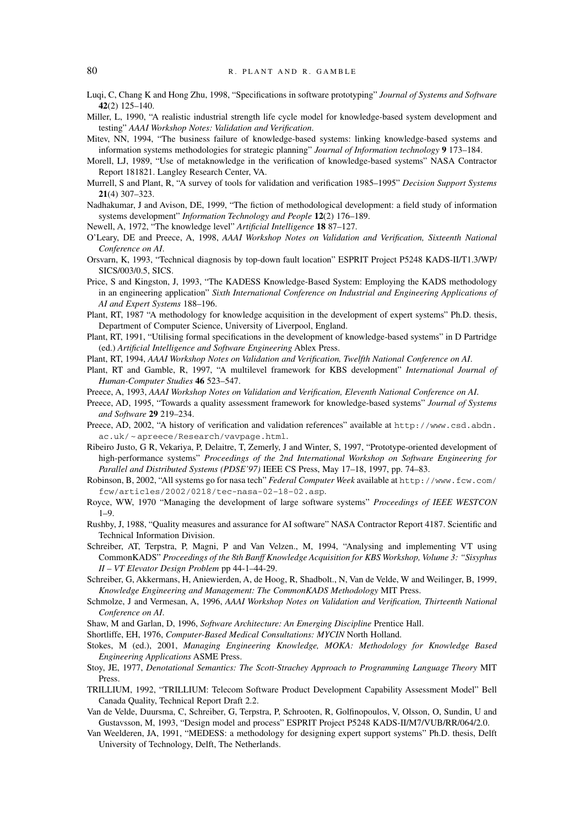- Luqi, C, Chang K and Hong Zhu, 1998, "Specifications in software prototyping" *Journal of Systems and Software* **42**(2) 125–140.
- Miller, L, 1990, "A realistic industrial strength life cycle model for knowledge-based system development and testing" *AAAI Workshop Notes: Validation and Verification*.
- Mitev, NN, 1994, "The business failure of knowledge-based systems: linking knowledge-based systems and information systems methodologies for strategic planning" *Journal of Information technology* **9** 173–184.
- Morell, LJ, 1989, "Use of metaknowledge in the verification of knowledge-based systems" NASA Contractor Report 181821. Langley Research Center, VA.
- Murrell, S and Plant, R, "A survey of tools for validation and verification 1985–1995" *Decision Support Systems* **21**(4) 307–323.
- Nadhakumar, J and Avison, DE, 1999, "The fiction of methodological development: a field study of information systems development" *Information Technology and People* **12**(2) 176–189.
- Newell, A, 1972, "The knowledge level" *Artificial Intelligence* **18** 87–127.
- O'Leary, DE and Preece, A, 1998, *AAAI Workshop Notes on Validation and Verification, Sixteenth National Conference on AI*.
- Orsvarn, K, 1993, "Technical diagnosis by top-down fault location" ESPRIT Project P5248 KADS-II/T1.3/WP/ SICS/003/0.5, SICS.
- Price, S and Kingston, J, 1993, "The KADESS Knowledge-Based System: Employing the KADS methodology in an engineering application" *Sixth International Conference on Industrial and Engineering Applications of AI and Expert Systems* 188–196.
- Plant, RT, 1987 "A methodology for knowledge acquisition in the development of expert systems" Ph.D. thesis, Department of Computer Science, University of Liverpool, England.
- Plant, RT, 1991, "Utilising formal specifications in the development of knowledge-based systems" in D Partridge (ed.) *Artificial Intelligence and Software Engineering* Ablex Press.
- Plant, RT, 1994, *AAAI Workshop Notes on Validation and Verification, Twelfth National Conference on AI*.
- Plant, RT and Gamble, R, 1997, "A multilevel framework for KBS development" *International Journal of Human-Computer Studies* **46** 523–547.
- Preece, A, 1993, *AAAI Workshop Notes on Validation and Verification, Eleventh National Conference on AI*.
- Preece, AD, 1995, "Towards a quality assessment framework for knowledge-based systems" *Journal of Systems and Software* **29** 219–234.
- Preece, AD, 2002, "A history of verification and validation references" available at http://www.csd.abdn. ac.uk/ ~ apreece/Research/vavpage.html.
- Ribeiro Justo, G R, Vekariya, P, Delaitre, T, Zemerly, J and Winter, S, 1997, "Prototype-oriented development of high-performance systems" *Proceedings of the 2nd International Workshop on Software Engineering for Parallel and Distributed Systems (PDSE'97)* IEEE CS Press, May 17–18, 1997, pp. 74–83.
- Robinson, B, 2002, "All systems go for nasa tech" *Federal Computer Week* available at http://www.fcw.com/ fcw/articles/2002/0218/tec-nasa-02–18–02.asp.
- Royce, WW, 1970 "Managing the development of large software systems" *Proceedings of IEEE WESTCON* 1–9.
- Rushby, J, 1988, "Quality measures and assurance for AI software" NASA Contractor Report 4187. Scientific and Technical Information Division.
- Schreiber, AT, Terpstra, P, Magni, P and Van Velzen., M, 1994, "Analysing and implementing VT using CommonKADS" *Proceedings of the 8th Banff Knowledge Acquisition for KBS Workshop, Volume 3: "Sisyphus II – VT Elevator Design Problem* pp 44-1–44-29.
- Schreiber, G, Akkermans, H, Aniewierden, A, de Hoog, R, Shadbolt., N, Van de Velde, W and Weilinger, B, 1999, *Knowledge Engineering and Management: The CommonKADS Methodology* MIT Press.
- Schmolze, J and Vermesan, A, 1996, *AAAI Workshop Notes on Validation and Verification, Thirteenth National Conference on AI*.
- Shaw, M and Garlan, D, 1996, *Software Architecture: An Emerging Discipline* Prentice Hall.
- Shortliffe, EH, 1976, *Computer-Based Medical Consultations: MYCIN* North Holland.
- Stokes, M (ed.), 2001, *Managing Engineering Knowledge, MOKA: Methodology for Knowledge Based Engineering Applications* ASME Press.
- Stoy, JE, 1977, *Denotational Semantics: The Scott-Strachey Approach to Programming Language Theory* MIT Press.
- TRILLIUM, 1992, "TRILLIUM: Telecom Software Product Development Capability Assessment Model" Bell Canada Quality, Technical Report Draft 2.2.
- Van de Velde, Duursma, C, Schreiber, G, Terpstra, P, Schrooten, R, Golfinopoulos, V, Olsson, O, Sundin, U and Gustavsson, M, 1993, "Design model and process" ESPRIT Project P5248 KADS-II/M7/VUB/RR/064/2.0.
- Van Weelderen, JA, 1991, "MEDESS: a methodology for designing expert support systems" Ph.D. thesis, Delft University of Technology, Delft, The Netherlands.